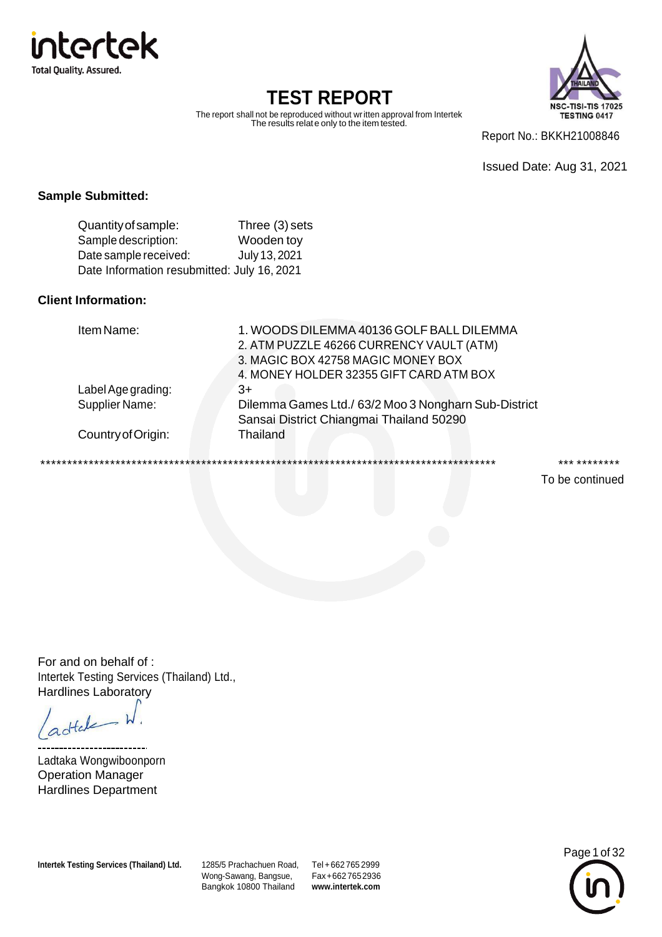



The report shall not be reproduced without written approval from Intertek The results relate only to the item tested.

Report No.: BKKH21008846

Issued Date: Aug 31, 2021

#### **Sample Submitted:**

| Quantity of sample:                         | Three (3) sets |
|---------------------------------------------|----------------|
| Sample description:                         | Wooden toy     |
| Date sample received:                       | July 13, 2021  |
| Date Information resubmitted: July 16, 2021 |                |

#### **Client Information:**

| Item Name:         | 1. WOODS DILEMMA 40136 GOLF BALL DILEMMA<br>2. ATM PUZZLE 46266 CURRENCY VAULT (ATM) |
|--------------------|--------------------------------------------------------------------------------------|
|                    | 3. MAGIC BOX 42758 MAGIC MONEY BOX                                                   |
|                    | 4. MONEY HOLDER 32355 GIFT CARD ATM BOX                                              |
| Label Age grading: | 3+                                                                                   |
| Supplier Name:     | Dilemma Games Ltd./ 63/2 Moo 3 Nongharn Sub-District                                 |
|                    | Sansai District Chiangmai Thailand 50290                                             |
| Country of Origin: | Thailand                                                                             |
|                    |                                                                                      |
|                    |                                                                                      |

\*\*\*\*\*\*\*\*\*\*\*\*\*\*\*\*\*\*\*\*\*\*\*\*\*\*\*\*\*\*\*\*\*\*\*\*\*\*\*\*\*\*\*\*\*\*\*\*\*\*\*\*\*\*\*\*\*\*\*\*\*\*\*\*\*\*\*\*\*\*\*\*\*\*\*\*\*\*\*\*\*\*\*\*\* \*\*\* \*\*\*\*\*\*\*\*

To be continued

For and on behalf of : Intertek Testing Services (Thailand) Ltd., Hardlines Laboratory

adtale

-------------------Ladtaka Wongwiboonporn Operation Manager Hardlines Department

**Intertek Testing Services (Thailand) Ltd.** 1285/5 Prachachuen Road,

Wong-Sawang, Bangsue, Bangkok 10800 Thailand Tel +662765 2999 Fax+6627652936 **[www.intertek.com](http://www.intertek.com/)**

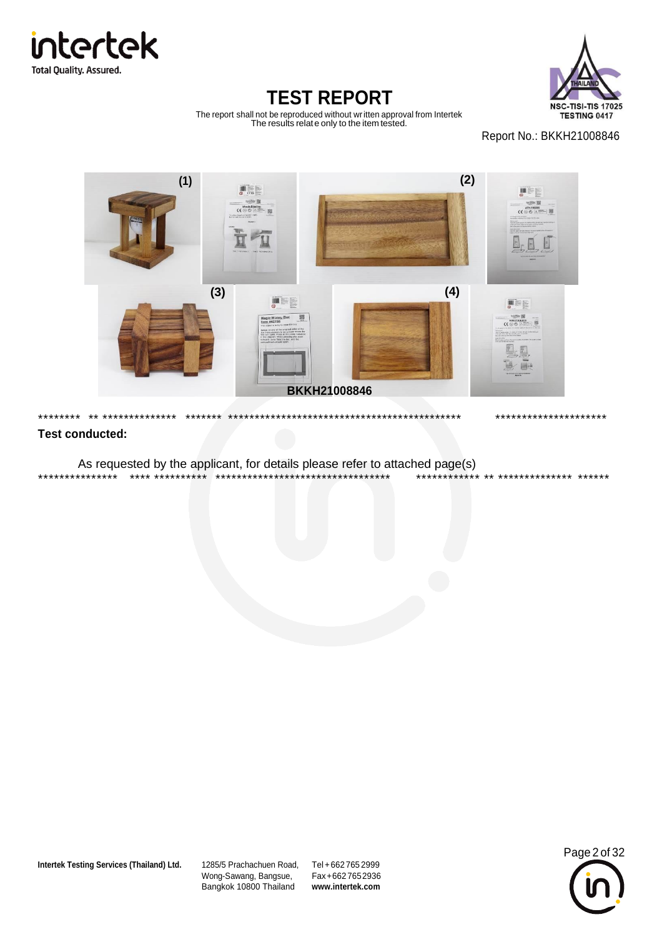



The report shall not be reproduced without written approval from Intertek The results relate only to the item tested.

Report No.: BKKH21008846



#### **Test conducted:**

As requested by the applicant, for details please refer to attached page(s) \*\*\*\*\*\*\*\*\*\*\*\*\*\*\* \*\*\*\* \*\*\*\*\*\*\*\*\*\* \*\*\*\*\*\*\*\*\*\*\*\*\*\*\*\*\*\*\*\*\*\*\*\*\*\*\*\*\*\*\*\*\* \*\*\*\*\*\*\*\*\*\*\*\* \*\* \*\*\*\*\*\*\*\*\*\*\*\*\*\* \*\*\*\*\*\*

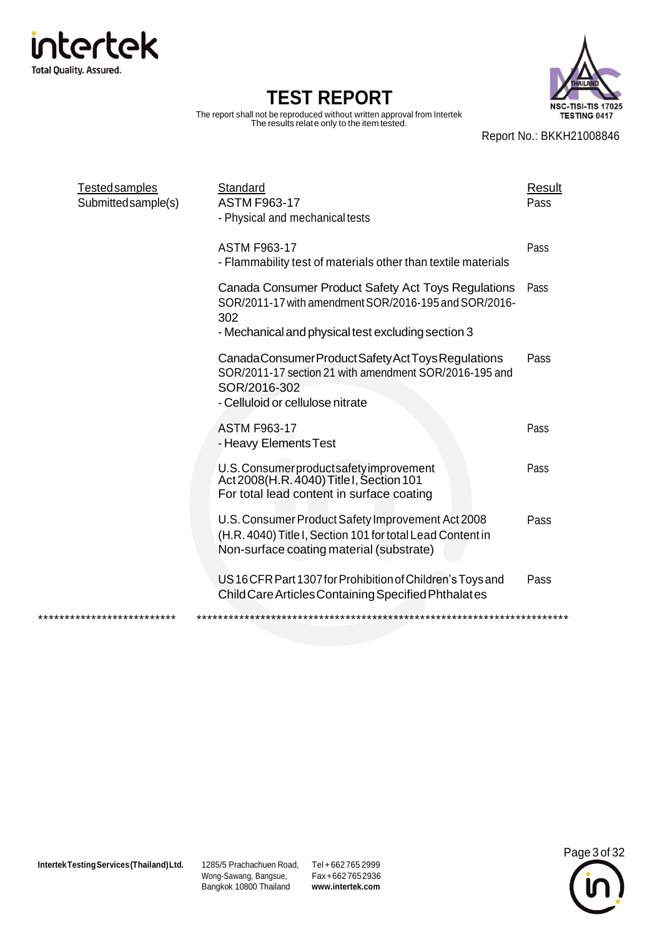

The report shall not be reproduced without written approval from Intertek The results relate only to the item tested.



Report No.: BKKH21008846

| <b>Tested samples</b><br>Submitted sample(s) | Standard<br><b>ASTM F963-17</b><br>- Physical and mechanical tests                                                                                                        | Result<br>Pass |
|----------------------------------------------|---------------------------------------------------------------------------------------------------------------------------------------------------------------------------|----------------|
|                                              | <b>ASTM F963-17</b><br>- Flammability test of materials other than textile materials                                                                                      | Pass           |
|                                              | Canada Consumer Product Safety Act Toys Regulations<br>SOR/2011-17 with amendment SOR/2016-195 and SOR/2016-<br>302<br>- Mechanical and physical test excluding section 3 | Pass           |
|                                              | Canada Consumer Product Safety Act Toys Regulations<br>SOR/2011-17 section 21 with amendment SOR/2016-195 and<br>SOR/2016-302<br>- Celluloid or cellulose nitrate         | Pass           |
|                                              | <b>ASTM F963-17</b><br>- Heavy Elements Test                                                                                                                              | Pass           |
|                                              | U.S. Consumer product safety improvement<br>Act 2008(H.R. 4040) Title I, Section 101<br>For total lead content in surface coating                                         | Pass           |
|                                              | U.S. Consumer Product Safety Improvement Act 2008<br>(H.R. 4040) Title I, Section 101 for total Lead Content in<br>Non-surface coating material (substrate)               | Pass           |
|                                              | US16 CFR Part 1307 for Prohibition of Children's Toys and<br>Child Care Articles Containing Specified Phthalates                                                          | Pass           |
| **************************                   |                                                                                                                                                                           |                |

Wong-Sawang, Bangsue, Bangkok 10800 Thailand

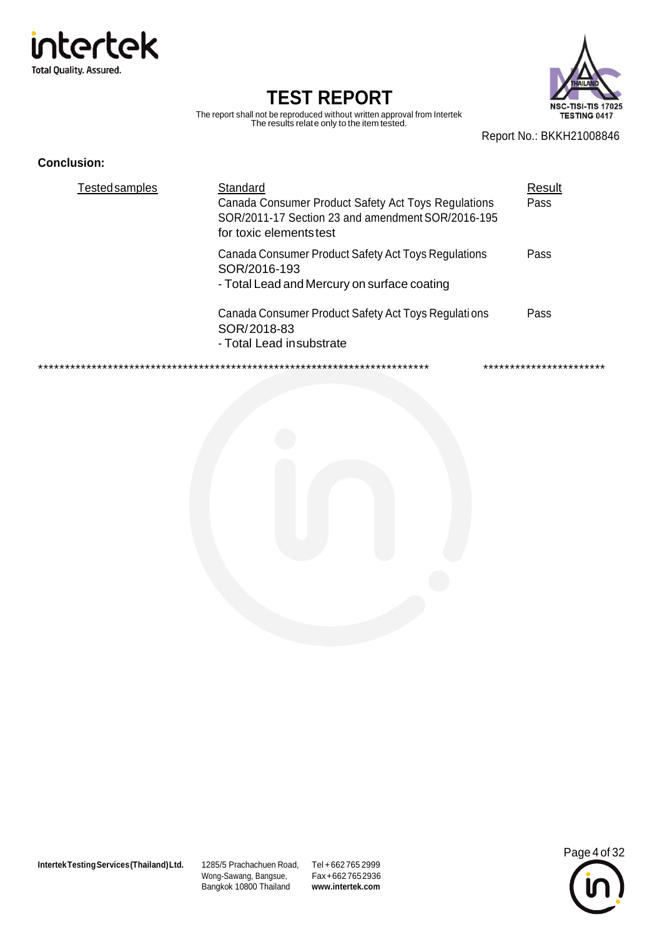



The report shall not be reproduced without written approval from Intertek The results relate only to the item tested.

Report No.: BKKH21008846

#### **Conclusion:**

| <b>Tested samples</b> | Standard<br>Canada Consumer Product Safety Act Toys Regulations<br>SOR/2011-17 Section 23 and amendment SOR/2016-195<br>for toxic elements test | Result<br>Pass |
|-----------------------|-------------------------------------------------------------------------------------------------------------------------------------------------|----------------|
|                       | Canada Consumer Product Safety Act Toys Regulations<br>SOR/2016-193<br>- Total Lead and Mercury on surface coating                              | Pass           |
|                       | Canada Consumer Product Safety Act Toys Regulations<br>SOR/2018-83<br>- Total Lead insubstrate                                                  | Pass           |
|                       |                                                                                                                                                 |                |



Wong-Sawang, Bangsue, Bangkok 10800 Thailand

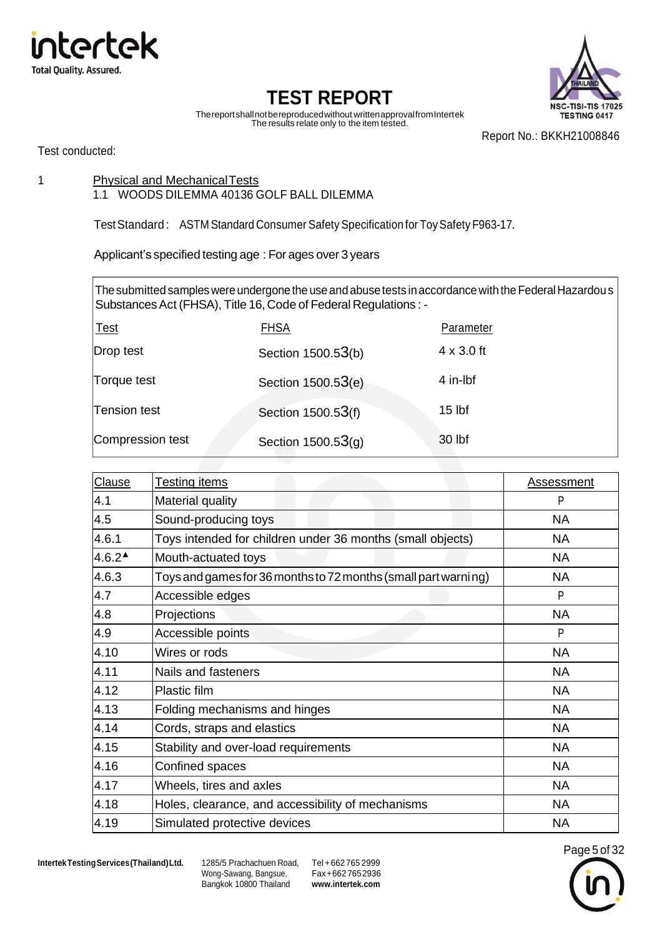



Thereportshallnotbereproducedwithout writtenapprovalfromIntertek The results relate only to the item tested.

Report No.: BKKH21008846

Test conducted:

1 Physical and Mechanical Tests

#### 1.1 WOODS DILEMMA 40136 GOLF BALL DILEMMA

Test Standard: ASTM Standard Consumer Safety Specification for Toy Safety F963-17.

Applicant's specified testing age : For ages over 3 years

The submitted samples were undergone the use and abuse tests in accordance with the Federal Hazardous Substances Act (FHSA), Title 16, Code of Federal Regulations : -

| <u>Test</u>      | <b>FHSA</b>          | Parameter         |
|------------------|----------------------|-------------------|
| Drop test        | Section 1500.53(b)   | $4 \times 3.0$ ft |
| Torque test      | Section 1500.53(e)   | 4 in-lbf          |
| Tension test     | Section 1500.53(f)   | $15$ lbf          |
| Compression test | Section $1500.53(q)$ | 30 lbf            |

| Clause              | <b>Testing items</b>                                           | <b>Assessment</b> |
|---------------------|----------------------------------------------------------------|-------------------|
| 4.1                 | Material quality                                               | P                 |
| 4.5                 | Sound-producing toys                                           | <b>NA</b>         |
| 4.6.1               | Toys intended for children under 36 months (small objects)     | <b>NA</b>         |
| $4.6.2^{\triangle}$ | Mouth-actuated toys                                            | <b>NA</b>         |
| 4.6.3               | Toys and games for 36 months to 72 months (small part warning) | <b>NA</b>         |
| 4.7                 | Accessible edges                                               | P                 |
| 4.8                 | Projections                                                    | <b>NA</b>         |
| 4.9                 | Accessible points                                              | P                 |
| 4.10                | Wires or rods                                                  | <b>NA</b>         |
| 4.11                | Nails and fasteners                                            | <b>NA</b>         |
| 4.12                | Plastic film                                                   | <b>NA</b>         |
| 4.13                | Folding mechanisms and hinges                                  | <b>NA</b>         |
| 4.14                | Cords, straps and elastics                                     | <b>NA</b>         |
| 4.15                | Stability and over-load requirements                           | <b>NA</b>         |
| 4.16                | Confined spaces                                                | <b>NA</b>         |
| 4.17                | Wheels, tires and axles                                        | <b>NA</b>         |
| 4.18                | Holes, clearance, and accessibility of mechanisms              | <b>NA</b>         |
| 4.19                | Simulated protective devices                                   | <b>NA</b>         |

**IntertekTestingServices(Thailand)Ltd.** 1285/5 Prachachuen Road, Tel +662 765 2999

Wong-Sawang, Bangsue, Bangkok 10800 Thailand

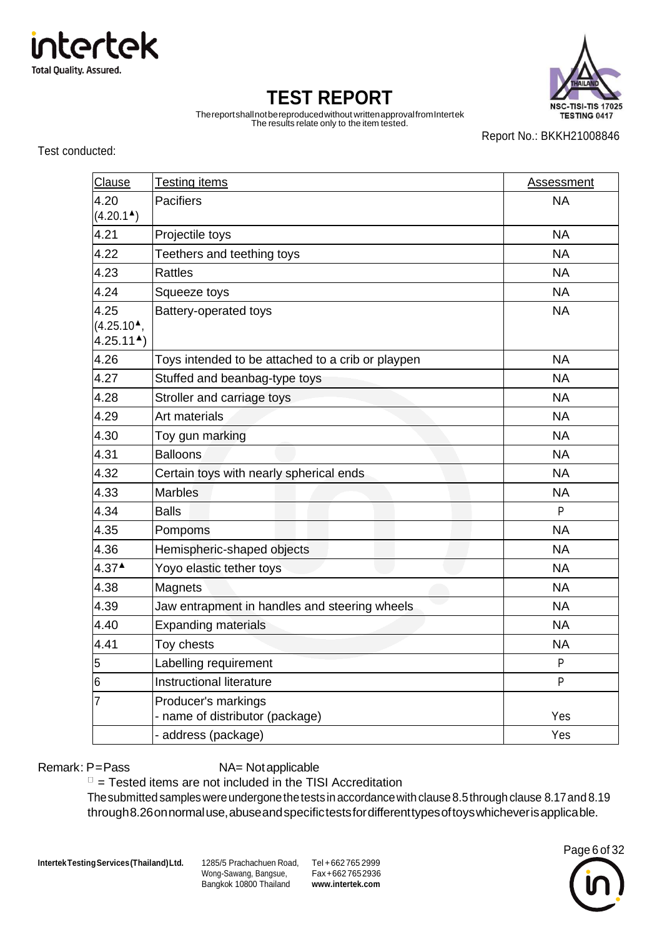



Thereportshallnotbereproducedwithout writtenapprovalfromIntertek The results relate only to the item tested.

Report No.: BKKH21008846

Test conducted:

| Clause                                                  | Testing items                                          | <b>Assessment</b> |
|---------------------------------------------------------|--------------------------------------------------------|-------------------|
| 4.20                                                    | <b>Pacifiers</b>                                       | <b>NA</b>         |
| $(4.20.1^{\triangle})$                                  |                                                        |                   |
| 4.21                                                    | Projectile toys                                        | <b>NA</b>         |
| 4.22                                                    | Teethers and teething toys                             | <b>NA</b>         |
| 4.23                                                    | <b>Rattles</b>                                         | <b>NA</b>         |
| 4.24                                                    | Squeeze toys                                           | <b>NA</b>         |
| 4.25<br>$(4.25.10^{\text{A}}),$<br>$4.25.11^{\text{A}}$ | Battery-operated toys                                  | <b>NA</b>         |
| 4.26                                                    | Toys intended to be attached to a crib or playpen      | <b>NA</b>         |
| 4.27                                                    | Stuffed and beanbag-type toys                          | <b>NA</b>         |
| 4.28                                                    | Stroller and carriage toys                             | <b>NA</b>         |
| 4.29                                                    | Art materials                                          | <b>NA</b>         |
| 4.30                                                    | Toy gun marking                                        | <b>NA</b>         |
| 4.31                                                    | <b>Balloons</b>                                        | <b>NA</b>         |
| 4.32                                                    | Certain toys with nearly spherical ends                | <b>NA</b>         |
| 4.33                                                    | <b>Marbles</b>                                         | <b>NA</b>         |
| 4.34                                                    | <b>Balls</b>                                           | P                 |
| 4.35                                                    | Pompoms                                                | <b>NA</b>         |
| 4.36                                                    | Hemispheric-shaped objects                             | <b>NA</b>         |
| $4.37^{\triangle}$                                      | Yoyo elastic tether toys                               | <b>NA</b>         |
| 4.38                                                    | Magnets                                                | <b>NA</b>         |
| 4.39                                                    | Jaw entrapment in handles and steering wheels          | <b>NA</b>         |
| 4.40                                                    | <b>Expanding materials</b>                             | <b>NA</b>         |
| 4.41                                                    | Toy chests                                             | <b>NA</b>         |
| 5                                                       | Labelling requirement                                  | P                 |
| 6                                                       | Instructional literature                               | P                 |
| $\overline{7}$                                          | Producer's markings<br>- name of distributor (package) | Yes               |
|                                                         | - address (package)                                    | Yes               |

Remark: P=Pass NA= Notapplicable

 $\Box$  = Tested items are not included in the TISI Accreditation

The submitted samples were undergone the tests in accordance with clause 8.5 through clause 8.17 and 8.19 through 8.26 on normal use, abuse and specifictests for different types of toys whichever is applica ble.

**IntertekTestingServices(Thailand)Ltd.** 1285/5 Prachachuen Road, Tel +662 765 2999

Wong-Sawang, Bangsue, Bangkok 10800 Thailand

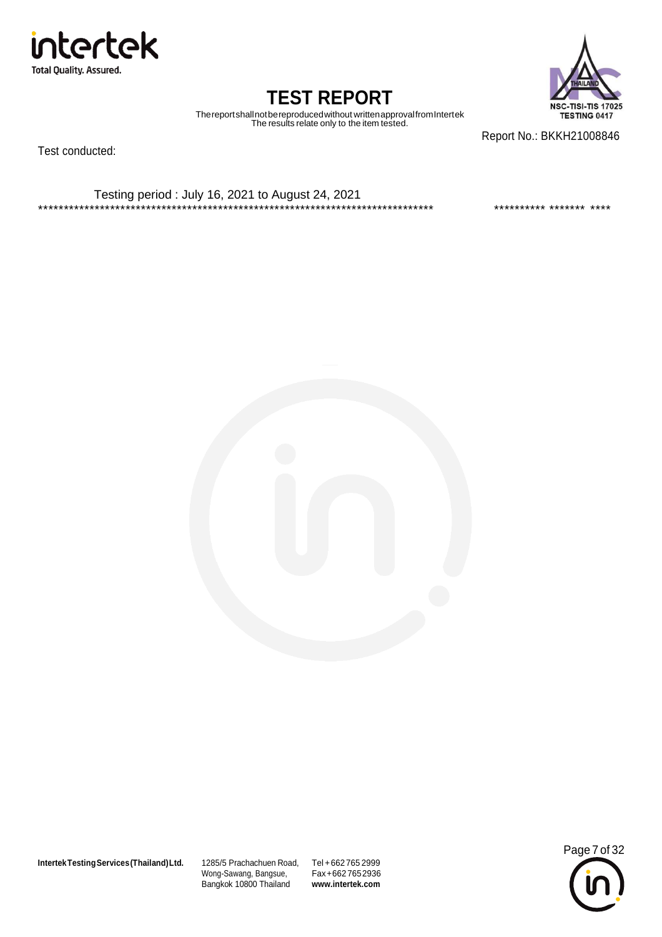

**NSC-TISI-TIS 17025** TESTING 0417

### **TEST REPORT**

Thereportshallnotbereproducedwithout writtenapprovalfromIntertek The results relate only to the item tested.

Test conducted:

Report No.: BKKH21008846

Testing period : July 16, 2021 to August 24, 2021 \*\*\*\*\*\*\*\*\*\*\*\*\*\*\*\*\*\*\*\*\*\*\*\*\*\*\*\*\*\*\*\*\*\*\*\*\*\*\*\*\*\*\*\*\*\*\*\*\*\*\*\*\*\*\*\*\*\*\*\*\*\*\*\*\*\*\*\*\*\*\*\*\*\*\*\*\* \*\*\*\*\*\*\*\*\*\* \*\*\*\*\*\*\* \*\*\*\*



**IntertekTestingServices(Thailand)Ltd.** 1285/5 Prachachuen Road, Tel +662 765 2999

Wong-Sawang, Bangsue, Bangkok 10800 Thailand

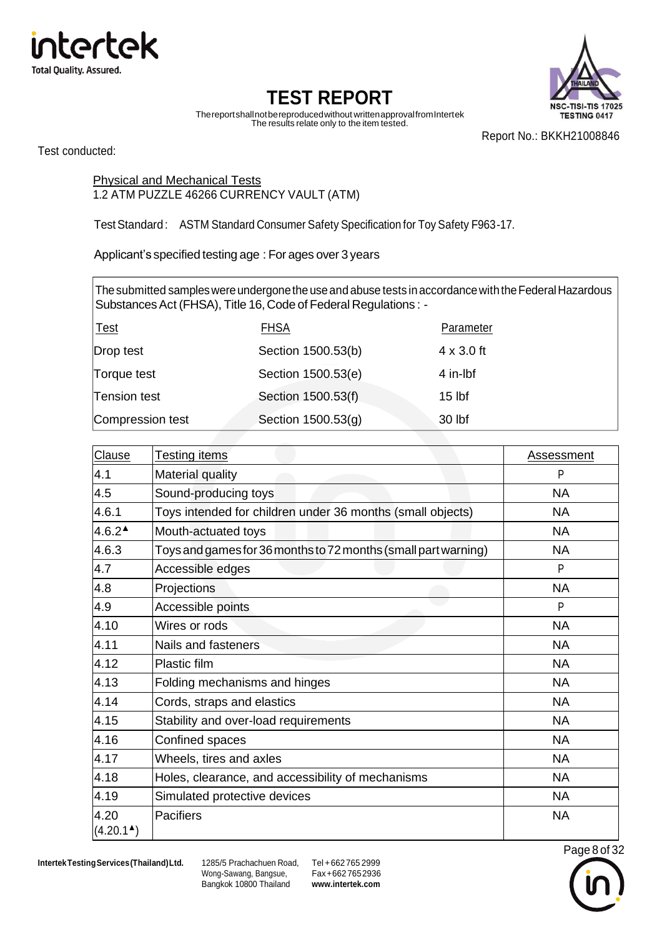



Thereportshallnotbereproducedwithout writtenapprovalfromIntertek The results relate only to the item tested.

Report No.: BKKH21008846

Test conducted:

#### Physical and Mechanical Tests 1.2 ATM PUZZLE 46266 CURRENCY VAULT (ATM)

TestStandard: ASTM Standard Consumer Safety Specification for Toy Safety F963-17.

Applicant's specified testing age : For ages over 3 years

The submitted samples were undergone the use and abuse tests in accordance with the Federal Hazardous Substances Act (FHSA), Title 16, Code of Federal Regulations : -

| <u> Test</u>     | <b>FHSA</b>        | Parameter         |
|------------------|--------------------|-------------------|
| Drop test        | Section 1500.53(b) | $4 \times 3.0$ ft |
| Torque test      | Section 1500.53(e) | 4 in-lbf          |
| Tension test     | Section 1500.53(f) | $15$ lbf          |
| Compression test | Section 1500.53(g) | 30 lbf            |

| Clause              | <b>Testing items</b>                                           | Assessment |
|---------------------|----------------------------------------------------------------|------------|
| 4.1                 | <b>Material quality</b>                                        | P          |
| 4.5                 | Sound-producing toys                                           | <b>NA</b>  |
| 4.6.1               | Toys intended for children under 36 months (small objects)     | <b>NA</b>  |
| $4.6.2^{\triangle}$ | Mouth-actuated toys                                            | <b>NA</b>  |
| 4.6.3               | Toys and games for 36 months to 72 months (small part warning) | <b>NA</b>  |
| 4.7                 | Accessible edges                                               | P          |
| 4.8                 | Projections                                                    | <b>NA</b>  |
| 4.9                 | Accessible points                                              | P          |
| 4.10                | Wires or rods                                                  | <b>NA</b>  |
| 4.11                | Nails and fasteners                                            | <b>NA</b>  |
| 4.12                | Plastic film                                                   | <b>NA</b>  |
| 4.13                | Folding mechanisms and hinges                                  | <b>NA</b>  |
| 4.14                | Cords, straps and elastics                                     | <b>NA</b>  |
| 4.15                | Stability and over-load requirements                           | <b>NA</b>  |
| 4.16                | Confined spaces                                                | <b>NA</b>  |
| 4.17                | Wheels, tires and axles                                        | <b>NA</b>  |
| 4.18                | Holes, clearance, and accessibility of mechanisms              | <b>NA</b>  |
| 4.19                | Simulated protective devices                                   | <b>NA</b>  |
| 4.20<br>(4.20.1)    | Pacifiers                                                      | <b>NA</b>  |

**IntertekTestingServices(Thailand)Ltd.** 1285/5 Prachachuen Road, Tel +662 765 2999

Wong-Sawang, Bangsue, Bangkok 10800 Thailand

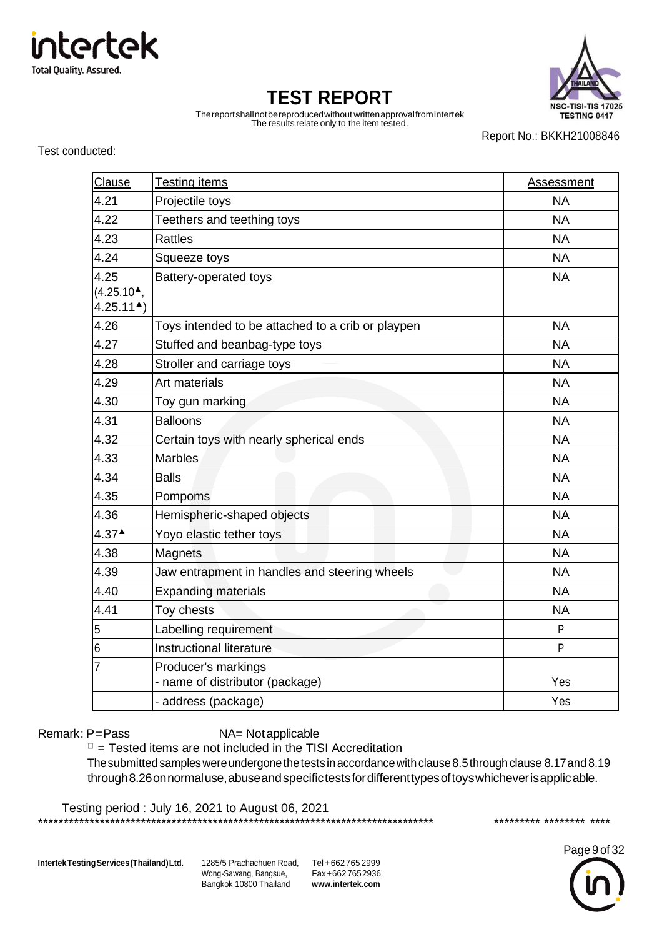

**NSC-TISI-TIS 17025** TESTING 0417

# **TEST REPORT**

Thereportshallnotbereproducedwithout writtenapprovalfromIntertek The results relate only to the item tested.

Report No.: BKKH21008846

Test conducted:

| Clause                                 | <b>Testing items</b>                                   | <b>Assessment</b> |
|----------------------------------------|--------------------------------------------------------|-------------------|
| 4.21                                   | Projectile toys                                        | <b>NA</b>         |
| 4.22                                   | Teethers and teething toys                             | <b>NA</b>         |
| 4.23                                   | <b>Rattles</b>                                         | <b>NA</b>         |
| 4.24                                   | Squeeze toys                                           | <b>NA</b>         |
| 4.25                                   | Battery-operated toys                                  | <b>NA</b>         |
| $(4.25.104)$ ,<br>$4.25.11^{\text{A}}$ |                                                        |                   |
| 4.26                                   | Toys intended to be attached to a crib or playpen      | <b>NA</b>         |
| 4.27                                   | Stuffed and beanbag-type toys                          | <b>NA</b>         |
| 4.28                                   | Stroller and carriage toys                             | <b>NA</b>         |
| 4.29                                   | Art materials                                          | <b>NA</b>         |
| 4.30                                   | Toy gun marking                                        | <b>NA</b>         |
| 4.31                                   | <b>Balloons</b>                                        | <b>NA</b>         |
| 4.32                                   | Certain toys with nearly spherical ends                | <b>NA</b>         |
| 4.33                                   | <b>Marbles</b>                                         | <b>NA</b>         |
| 4.34                                   | <b>Balls</b>                                           | <b>NA</b>         |
| 4.35                                   | Pompoms                                                | <b>NA</b>         |
| 4.36                                   | Hemispheric-shaped objects                             | <b>NA</b>         |
| $4.37^{\triangle}$                     | Yoyo elastic tether toys                               | <b>NA</b>         |
| 4.38                                   | Magnets                                                | <b>NA</b>         |
| 4.39                                   | Jaw entrapment in handles and steering wheels          | <b>NA</b>         |
| 4.40                                   | <b>Expanding materials</b>                             | <b>NA</b>         |
| 4.41                                   | Toy chests                                             | <b>NA</b>         |
| 5                                      | Labelling requirement                                  | P                 |
| 6                                      | Instructional literature                               | P                 |
| 7                                      | Producer's markings<br>- name of distributor (package) | Yes               |
|                                        | - address (package)                                    | Yes               |

Remark: P=Pass NA= Notapplicable

 $\Box$  = Tested items are not included in the TISI Accreditation

The submitted samples were undergone the tests in accordance with clause 8.5 through clause 8.17 and 8.19 through8.26onnormaluse, abuse and specifictests for different types of toys whichever is applic able.

Testing period : July 16, 2021 to August 06, 2021 \*\*\*\*\*\*\*\*\*\*\*\*\*\*\*\*\*\*\*\*\*\*\*\*\*\*\*\*\*\*\*\*\*\*\*\*\*\*\*\*\*\*\*\*\*\*\*\*\*\*\*\*\*\*\*\*\*\*\*\*\*\*\*\*\*\*\*\*\*\*\*\*\*\*\*\*\* \*\*\*\*\*\*\*\*\* \*\*\*\*\*\*\*\* \*\*\*\*

**IntertekTestingServices(Thailand)Ltd.** 1285/5 Prachachuen Road, Tel +662 765 2999

Wong-Sawang, Bangsue, Bangkok 10800 Thailand

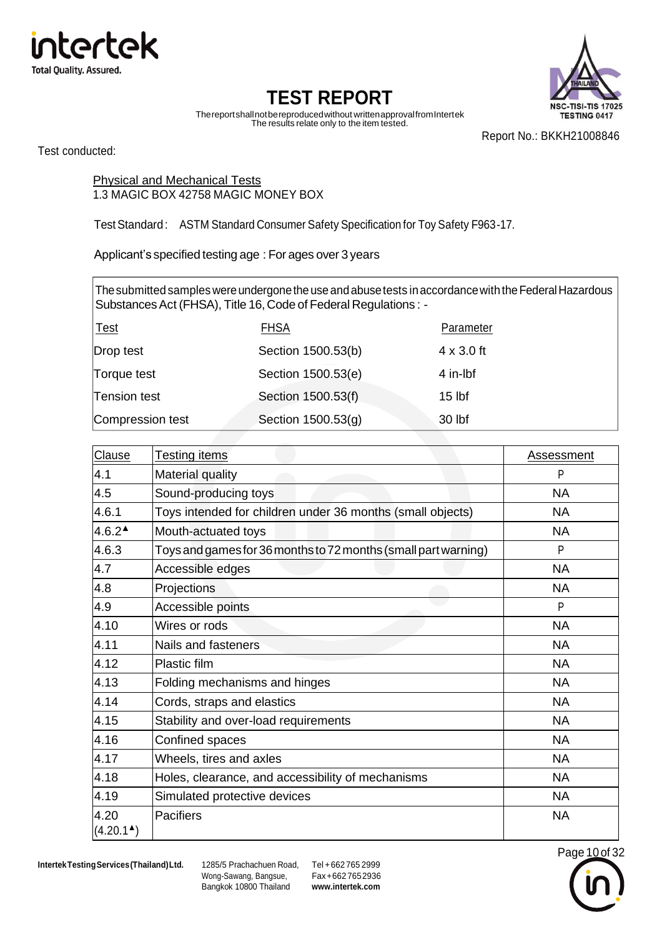



Page 10 of 32

Thereportshallnotbereproducedwithout writtenapprovalfromIntertek The results relate only to the item tested.

Report No.: BKKH21008846

Test conducted:

Physical and Mechanical Tests 1.3 MAGIC BOX 42758 MAGIC MONEY BOX

TestStandard: ASTM Standard Consumer Safety Specification for Toy Safety F963-17.

Applicant's specified testing age : For ages over 3 years

The submitted samples were undergone the use and abuse tests in accordance with the Federal Hazardous Substances Act (FHSA), Title 16, Code of Federal Regulations : -

| <u> Test</u>     | <b>FHSA</b>        | Parameter         |
|------------------|--------------------|-------------------|
| Drop test        | Section 1500.53(b) | $4 \times 3.0$ ft |
| Torque test      | Section 1500.53(e) | 4 in-lbf          |
| Tension test     | Section 1500.53(f) | $15$ lbf          |
| Compression test | Section 1500.53(g) | 30 lbf            |

| Clause              | <b>Testing items</b>                                           | Assessment |
|---------------------|----------------------------------------------------------------|------------|
| 4.1                 | Material quality                                               | P          |
| 4.5                 | Sound-producing toys                                           | <b>NA</b>  |
| 4.6.1               | Toys intended for children under 36 months (small objects)     | <b>NA</b>  |
| $4.6.2^{\triangle}$ | Mouth-actuated toys                                            | <b>NA</b>  |
| 4.6.3               | Toys and games for 36 months to 72 months (small part warning) | P          |
| 4.7                 | Accessible edges                                               | <b>NA</b>  |
| 4.8                 | Projections                                                    | <b>NA</b>  |
| 4.9                 | Accessible points                                              | P          |
| 4.10                | Wires or rods                                                  | <b>NA</b>  |
| 4.11                | Nails and fasteners                                            | <b>NA</b>  |
| 4.12                | Plastic film                                                   | <b>NA</b>  |
| 4.13                | Folding mechanisms and hinges                                  | <b>NA</b>  |
| 4.14                | Cords, straps and elastics                                     | <b>NA</b>  |
| 4.15                | Stability and over-load requirements                           | <b>NA</b>  |
| 4.16                | Confined spaces                                                | <b>NA</b>  |
| 4.17                | Wheels, tires and axles                                        | <b>NA</b>  |
| 4.18                | Holes, clearance, and accessibility of mechanisms              | <b>NA</b>  |
| 4.19                | Simulated protective devices                                   | <b>NA</b>  |
| 4.20<br>(4.20.1)    | Pacifiers                                                      | <b>NA</b>  |



Wong-Sawang, Bangsue, Bangkok 10800 Thailand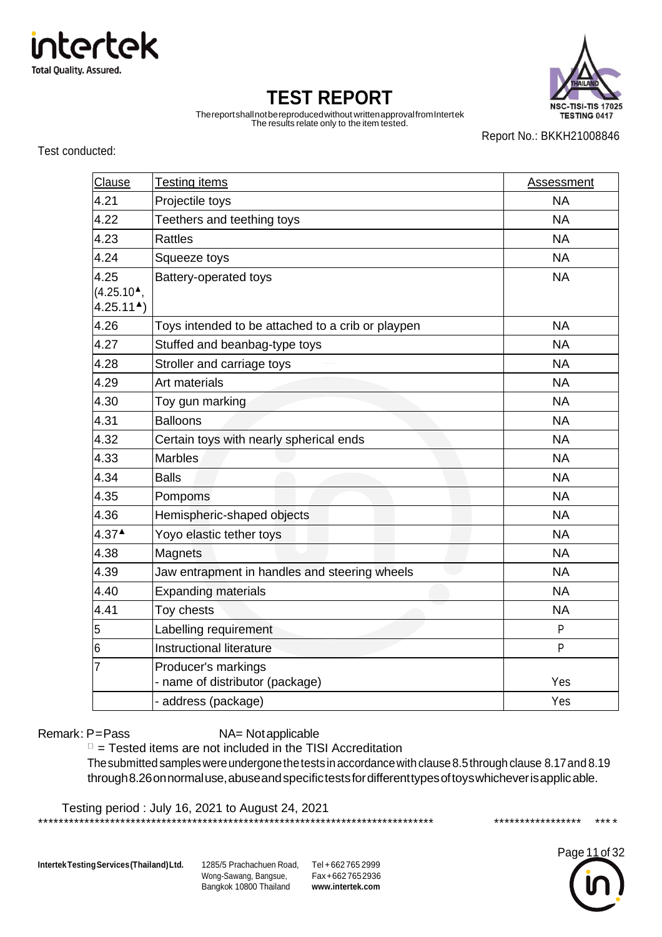

**NSC-TISI-TIS 17025** TESTING 0417

# **TEST REPORT**

Thereportshallnotbereproducedwithout writtenapprovalfromIntertek The results relate only to the item tested.

Report No.: BKKH21008846

Test conducted:

| Clause                                              | <b>Testing items</b>                                   | <b>Assessment</b> |
|-----------------------------------------------------|--------------------------------------------------------|-------------------|
| 4.21                                                | Projectile toys                                        | <b>NA</b>         |
| 4.22                                                | Teethers and teething toys                             | <b>NA</b>         |
| 4.23                                                | <b>Rattles</b>                                         | <b>NA</b>         |
| 4.24                                                | Squeeze toys                                           | <b>NA</b>         |
| 4.25<br>$(4.25.10^{\circ})$<br>$4.25.11^{\text{A}}$ | Battery-operated toys                                  | <b>NA</b>         |
| 4.26                                                | Toys intended to be attached to a crib or playpen      | <b>NA</b>         |
| 4.27                                                | Stuffed and beanbag-type toys                          | <b>NA</b>         |
| 4.28                                                | Stroller and carriage toys                             | <b>NA</b>         |
| 4.29                                                | Art materials                                          | <b>NA</b>         |
| 4.30                                                | Toy gun marking                                        | <b>NA</b>         |
| 4.31                                                | <b>Balloons</b>                                        | <b>NA</b>         |
| 4.32                                                | Certain toys with nearly spherical ends                | <b>NA</b>         |
| 4.33                                                | <b>Marbles</b>                                         | <b>NA</b>         |
| 4.34                                                | <b>Balls</b>                                           | <b>NA</b>         |
| 4.35                                                | Pompoms                                                | <b>NA</b>         |
| 4.36                                                | Hemispheric-shaped objects                             | <b>NA</b>         |
| $4.37^{\triangle}$                                  | Yoyo elastic tether toys                               | <b>NA</b>         |
| 4.38                                                | Magnets                                                | <b>NA</b>         |
| 4.39                                                | Jaw entrapment in handles and steering wheels          | <b>NA</b>         |
| 4.40                                                | <b>Expanding materials</b>                             | <b>NA</b>         |
| 4.41                                                | Toy chests                                             | <b>NA</b>         |
| 5                                                   | Labelling requirement                                  | P                 |
| 6                                                   | Instructional literature                               | P                 |
| 7                                                   | Producer's markings<br>- name of distributor (package) | Yes               |
|                                                     | - address (package)                                    | Yes               |

Remark: P=Pass NA= Notapplicable

 $\Box$  = Tested items are not included in the TISI Accreditation

The submitted samples were undergone the tests in accordance with clause 8.5 through clause 8.17 and 8.19 through8.26onnormaluse, abuse and specifictests for different types of toys whichever is applic able.

Testing period : July 16, 2021 to August 24, 2021 \*\*\*\*\*\*\*\*\*\*\*\*\*\*\*\*\*\*\*\*\*\*\*\*\*\*\*\*\*\*\*\*\*\*\*\*\*\*\*\*\*\*\*\*\*\*\*\*\*\*\*\*\*\*\*\*\*\*\*\*\*\*\*\*\*\*\*\*\*\*\*\*\*\*\*\*\* \*\*\*\*\*\*\*\*\*\*\*\*\*\*\*\*\* \*\*\*\*

**IntertekTestingServices(Thailand)Ltd.** 1285/5 Prachachuen Road, Tel +662 765 2999

Wong-Sawang, Bangsue, Bangkok 10800 Thailand

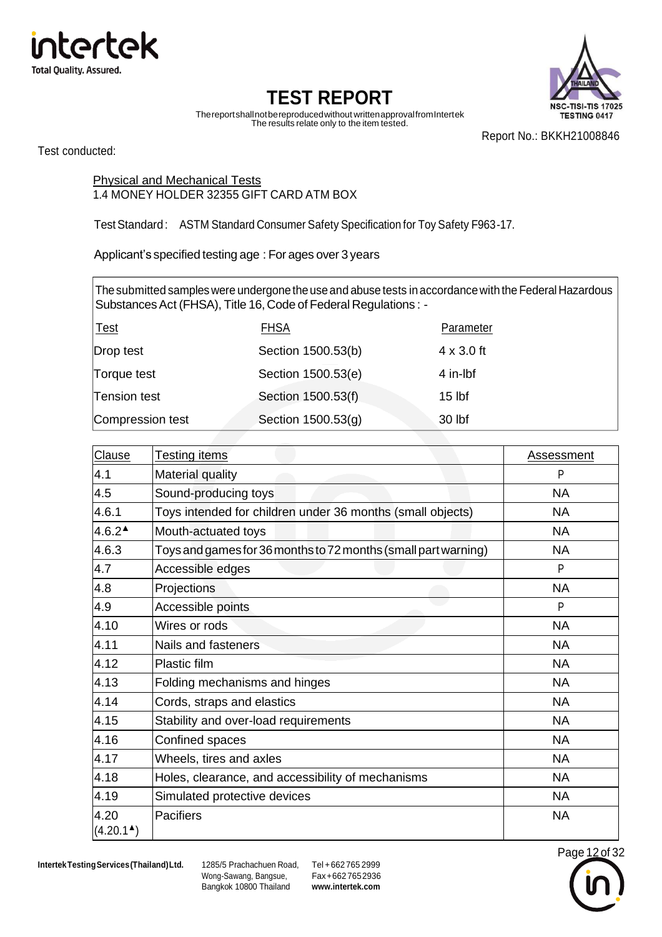



Page 12 of 32

Thereportshallnotbereproducedwithout writtenapprovalfromIntertek The results relate only to the item tested.

Report No.: BKKH21008846

Test conducted:

Physical and Mechanical Tests 1.4 MONEY HOLDER 32355 GIFT CARD ATM BOX

TestStandard: ASTM Standard Consumer Safety Specification for Toy Safety F963-17.

Applicant's specified testing age : For ages over 3 years

The submitted samples were undergone the use and abuse tests in accordance with the Federal Hazardous Substances Act (FHSA), Title 16, Code of Federal Regulations : -

| <u> Test</u>     | <b>FHSA</b>        | Parameter         |
|------------------|--------------------|-------------------|
| Drop test        | Section 1500.53(b) | $4 \times 3.0$ ft |
| Torque test      | Section 1500.53(e) | 4 in-lbf          |
| Tension test     | Section 1500.53(f) | $15$ lbf          |
| Compression test | Section 1500.53(g) | 30 lbf            |

| Clause                        | <b>Testing items</b>                                           | Assessment |  |
|-------------------------------|----------------------------------------------------------------|------------|--|
| 4.1                           | <b>Material quality</b>                                        | P          |  |
| 4.5                           | Sound-producing toys                                           | <b>NA</b>  |  |
| 4.6.1                         | Toys intended for children under 36 months (small objects)     | <b>NA</b>  |  |
| $4.6.2^{\triangle}$           | Mouth-actuated toys                                            | NA         |  |
| 4.6.3                         | Toys and games for 36 months to 72 months (small part warning) | <b>NA</b>  |  |
| 4.7                           | Accessible edges                                               | P          |  |
| 4.8                           | Projections                                                    | <b>NA</b>  |  |
| 4.9                           | Accessible points                                              | P          |  |
| 4.10                          | Wires or rods                                                  | <b>NA</b>  |  |
| 4.11                          | Nails and fasteners                                            | <b>NA</b>  |  |
| 4.12                          | Plastic film                                                   | <b>NA</b>  |  |
| 4.13                          | Folding mechanisms and hinges                                  | <b>NA</b>  |  |
| 4.14                          | Cords, straps and elastics<br><b>NA</b>                        |            |  |
| 4.15                          | Stability and over-load requirements                           | <b>NA</b>  |  |
| 4.16                          | Confined spaces                                                | <b>NA</b>  |  |
| 4.17                          | Wheels, tires and axles<br><b>NA</b>                           |            |  |
| 4.18                          | Holes, clearance, and accessibility of mechanisms<br><b>NA</b> |            |  |
| 4.19                          | Simulated protective devices<br><b>NA</b>                      |            |  |
| 4.20<br>$(4.20.1^{\text{A}})$ | Pacifiers                                                      | <b>NA</b>  |  |

**IntertekTestingServices(Thailand)Ltd.** 1285/5 Prachachuen Road, Tel +662 765 2999

Wong-Sawang, Bangsue, Bangkok 10800 Thailand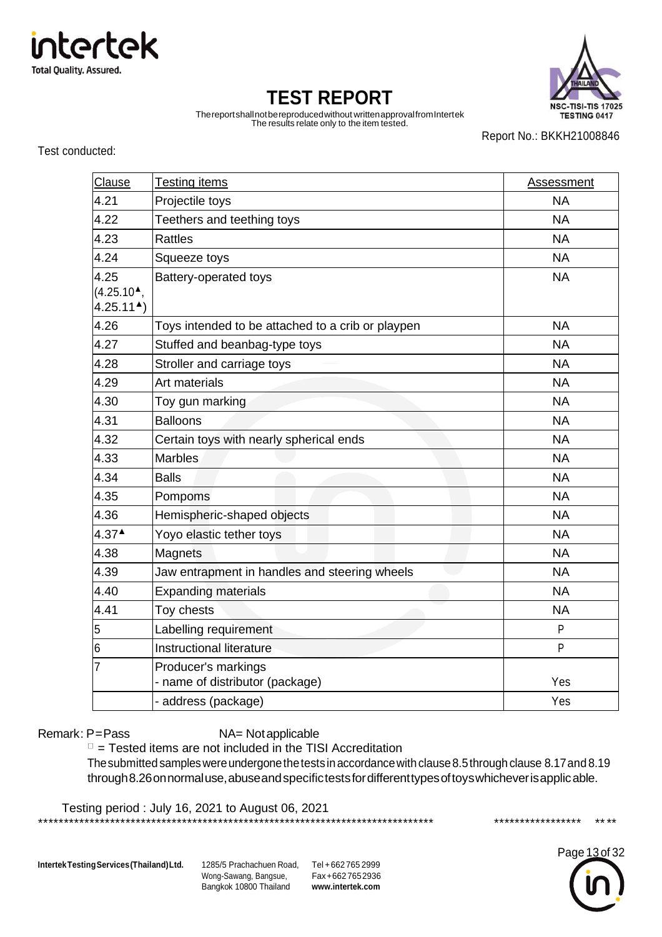

**NSC-TISI-TIS 17025** TESTING 0417

# **TEST REPORT**

Thereportshallnotbereproducedwithout writtenapprovalfromIntertek The results relate only to the item tested.

Report No.: BKKH21008846

Test conducted:

| Clause                                              | <b>Testing items</b>                                   | <b>Assessment</b> |
|-----------------------------------------------------|--------------------------------------------------------|-------------------|
| 4.21                                                | Projectile toys                                        | <b>NA</b>         |
| 4.22                                                | Teethers and teething toys                             | <b>NA</b>         |
| 4.23                                                | <b>Rattles</b>                                         | <b>NA</b>         |
| 4.24                                                | Squeeze toys                                           | <b>NA</b>         |
| 4.25<br>$(4.25.10^{\circ})$<br>$4.25.11^{\text{A}}$ | Battery-operated toys                                  | <b>NA</b>         |
| 4.26                                                | Toys intended to be attached to a crib or playpen      | <b>NA</b>         |
| 4.27                                                | Stuffed and beanbag-type toys                          | <b>NA</b>         |
| 4.28                                                | Stroller and carriage toys                             | <b>NA</b>         |
| 4.29                                                | Art materials                                          | <b>NA</b>         |
| 4.30                                                | Toy gun marking                                        | <b>NA</b>         |
| 4.31                                                | <b>Balloons</b>                                        | <b>NA</b>         |
| 4.32                                                | Certain toys with nearly spherical ends                | <b>NA</b>         |
| 4.33                                                | <b>Marbles</b>                                         | <b>NA</b>         |
| 4.34                                                | <b>Balls</b>                                           | <b>NA</b>         |
| 4.35                                                | Pompoms                                                | <b>NA</b>         |
| 4.36                                                | Hemispheric-shaped objects                             | <b>NA</b>         |
| $4.37^{\triangle}$                                  | Yoyo elastic tether toys                               | <b>NA</b>         |
| 4.38                                                | Magnets                                                | <b>NA</b>         |
| 4.39                                                | Jaw entrapment in handles and steering wheels          | <b>NA</b>         |
| 4.40                                                | <b>Expanding materials</b>                             | <b>NA</b>         |
| 4.41                                                | Toy chests                                             | <b>NA</b>         |
| 5                                                   | Labelling requirement                                  | P                 |
| 6                                                   | Instructional literature                               | P                 |
| 7                                                   | Producer's markings<br>- name of distributor (package) | Yes               |
|                                                     | - address (package)                                    | Yes               |

Remark: P=Pass NA= Notapplicable

 $\Box$  = Tested items are not included in the TISI Accreditation

The submitted samples were undergone the tests in accordance with clause 8.5 through clause 8.17 and 8.19 through8.26onnormaluse, abuse and specifictests for different types of toys whichever is applic able.

Testing period : July 16, 2021 to August 06, 2021 \*\*\*\*\*\*\*\*\*\*\*\*\*\*\*\*\*\*\*\*\*\*\*\*\*\*\*\*\*\*\*\*\*\*\*\*\*\*\*\*\*\*\*\*\*\*\*\*\*\*\*\*\*\*\*\*\*\*\*\*\*\*\*\*\*\*\*\*\*\*\*\*\*\*\*\*\* \*\*\*\*\*\*\*\*\*\*\*\*\*\*\*\*\* \*\*\*\*

**IntertekTestingServices(Thailand)Ltd.** 1285/5 Prachachuen Road, Tel +662 765 2999

Wong-Sawang, Bangsue, Bangkok 10800 Thailand

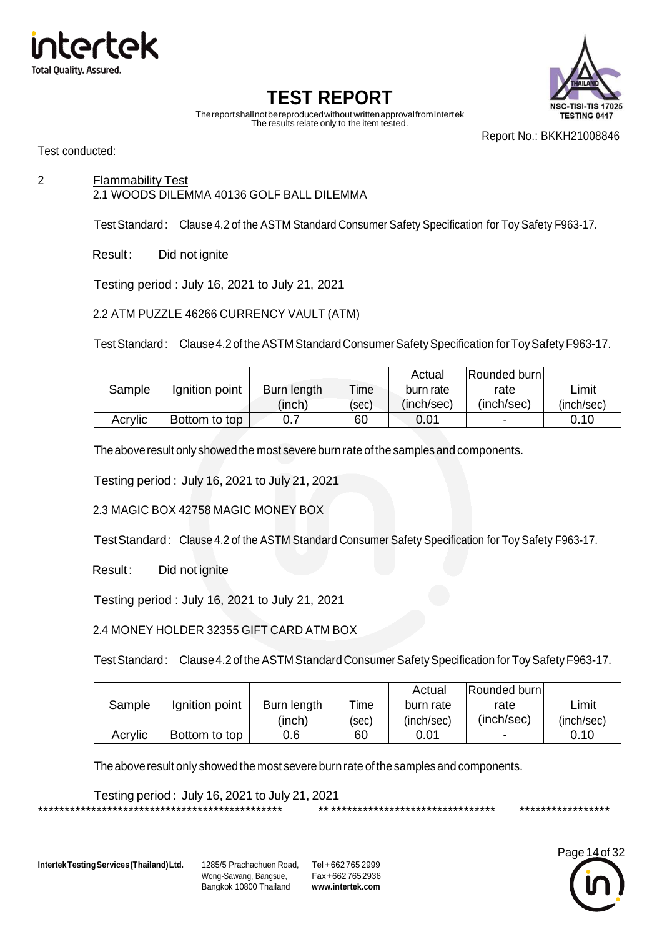



Thereportshallnotbereproducedwithout writtenapprovalfromIntertek The results relate only to the item tested.

Report No.: BKKH21008846

Test conducted:

2 Flammability Test 2.1 WOODS DILEMMA 40136 GOLF BALL DILEMMA

TestStandard: Clause 4.2 of the ASTM Standard Consumer Safety Specification for Toy Safety F963-17.

Result: Did not ignite

Testing period : July 16, 2021 to July 21, 2021

#### 2.2 ATM PUZZLE 46266 CURRENCY VAULT (ATM)

Test Standard: Clause 4.2 of the ASTM Standard Consumer Safety Specification for Toy Safety F963-17.

|         |                |             |       | Actual     | Rounded burn |            |
|---------|----------------|-------------|-------|------------|--------------|------------|
| Sample  | Ignition point | Burn length | Time  | burn rate  | rate         | _imit      |
|         |                | 'inch)      | (sec) | (inch/sec) | (inch/sec)   | (inch/sec) |
| Acrylic | Bottom to top  |             | 60    | 0.01       |              | 0.10       |

The above result only showed the most severe burn rate of the samples and components.

Testing period : July 16, 2021 to July 21, 2021

2.3 MAGIC BOX 42758 MAGIC MONEY BOX

TestStandard: Clause 4.2 of the ASTM Standard Consumer Safety Specification for Toy Safety F963-17.

Result: Did not ignite

Testing period : July 16, 2021 to July 21, 2021

2.4 MONEY HOLDER 32355 GIFT CARD ATM BOX

Test Standard: Clause 4.2 of the ASTM Standard Consumer Safety Specification for Toy Safety F963-17.

|         |                |             |       | Actual     | Rounded burn             |            |
|---------|----------------|-------------|-------|------------|--------------------------|------------|
| Sample  | Ignition point | Burn length | Time  | burn rate  | rate                     | Limit      |
|         |                | 'inch)      | (sec) | (inch/sec) | (inch/sec)               | (inch/sec) |
| Acrylic | Bottom to top  | 0.6         | 60    | 0.01       | $\overline{\phantom{a}}$ | 0.10       |

The above result only showed the most severe burn rate of the samples and components.

Testing period : July 16, 2021 to July 21, 2021 \*\*\*\*\*\*\*\*\*\*\*\*\*\*\*\*\*\*\*\*\*\*\*\*\*\*\*\*\*\*\*\*\*\*\*\*\*\*\*\*\*\*\*\*\*\* \*\* \*\*\*\*\*\*\*\*\*\*\*\*\*\*\*\*\*\*\*\*\*\*\*\*\*\*\*\*\*\*\* \*\*\*\*\*\*\*\*\*\*\*\*\*\*\*\*\*

**IntertekTestingServices(Thailand)Ltd.** 1285/5 Prachachuen Road, Tel +662 765 2999

Wong-Sawang, Bangsue, Bangkok 10800 Thailand

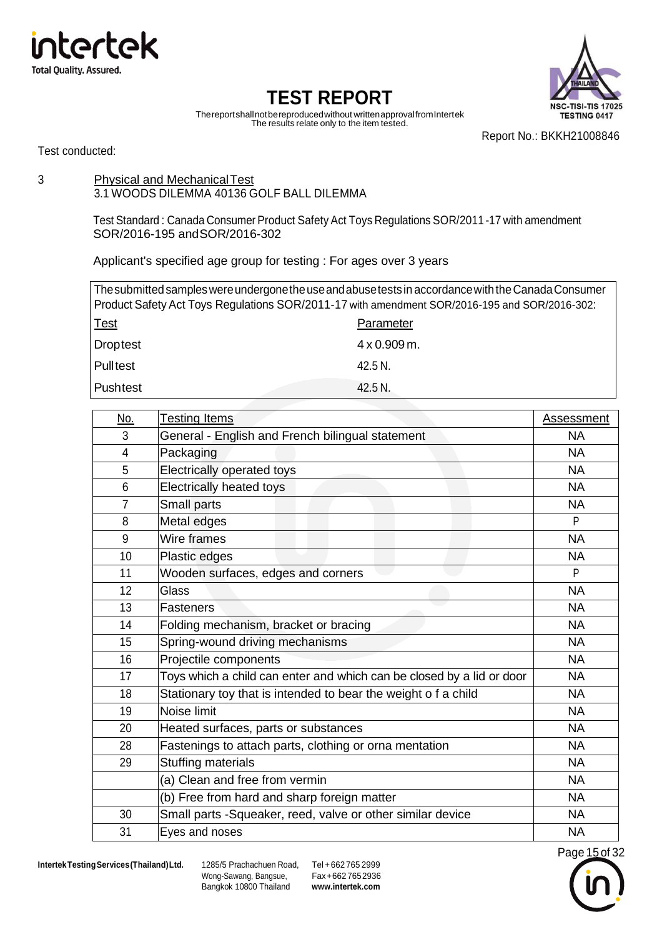



Thereportshallnotbereproducedwithout writtenapprovalfromIntertek The results relate only to the item tested.

Report No.: BKKH21008846

Test conducted:

#### 3 Physical and MechanicalTest 3.1 WOODS DILEMMA 40136 GOLF BALL DILEMMA

Test Standard : Canada Consumer Product Safety Act Toys Regulations SOR/2011 -17 with amendment SOR/2016-195 andSOR/2016-302

Applicant's specified age group for testing : For ages over 3 years

The submitted samples were undergone the use and abuse tests in accordance with the Canada Consumer Product Safety Act Toys Regulations SOR/2011-17 with amendment SOR/2016-195 and SOR/2016-302: Test **Parameter** Droptest 4 x 0.909 m. Pulltest 42.5 N. Pushtest 42.5 N.

| <u>No.</u>     | <b>Testing Items</b>                                                  | Assessment |
|----------------|-----------------------------------------------------------------------|------------|
| 3              | General - English and French bilingual statement                      | <b>NA</b>  |
| 4              | Packaging                                                             | <b>NA</b>  |
| 5              | Electrically operated toys                                            | <b>NA</b>  |
| 6              | <b>Electrically heated toys</b>                                       | <b>NA</b>  |
| $\overline{7}$ | Small parts                                                           | <b>NA</b>  |
| 8              | Metal edges                                                           | P          |
| 9              | Wire frames                                                           | <b>NA</b>  |
| 10             | Plastic edges                                                         | <b>NA</b>  |
| 11             | Wooden surfaces, edges and corners                                    | P          |
| 12             | Glass                                                                 | <b>NA</b>  |
| 13             | <b>Fasteners</b>                                                      | <b>NA</b>  |
| 14             | Folding mechanism, bracket or bracing                                 | <b>NA</b>  |
| 15             | Spring-wound driving mechanisms                                       | <b>NA</b>  |
| 16             | Projectile components                                                 | <b>NA</b>  |
| 17             | Toys which a child can enter and which can be closed by a lid or door | <b>NA</b>  |
| 18             | Stationary toy that is intended to bear the weight o f a child        | <b>NA</b>  |
| 19             | Noise limit                                                           | <b>NA</b>  |
| 20             | Heated surfaces, parts or substances                                  | <b>NA</b>  |
| 28             | Fastenings to attach parts, clothing or orna mentation                | <b>NA</b>  |
| 29             | Stuffing materials                                                    | <b>NA</b>  |
|                | (a) Clean and free from vermin                                        | <b>NA</b>  |
|                | (b) Free from hard and sharp foreign matter                           | <b>NA</b>  |
| 30             | Small parts -Squeaker, reed, valve or other similar device            | <b>NA</b>  |
| 31             | Eyes and noses                                                        | <b>NA</b>  |

**IntertekTestingServices(Thailand)Ltd.** 1285/5 Prachachuen Road, Tel +662 765 2999

Wong-Sawang, Bangsue, Bangkok 10800 Thailand

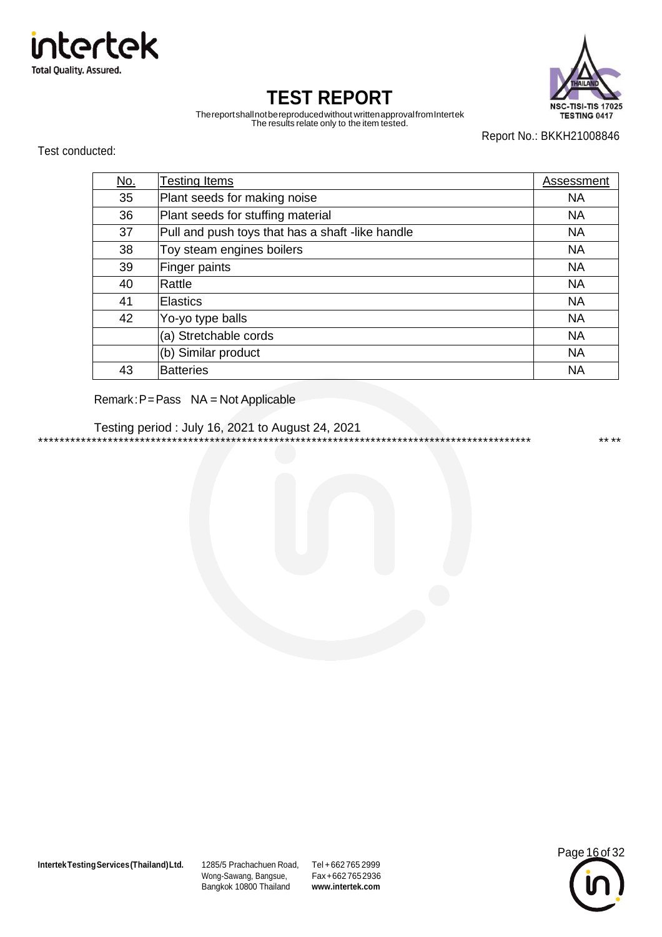



Thereportshallnotbereproducedwithout writtenapprovalfromIntertek The results relate only to the item tested.

Report No.: BKKH21008846

Test conducted:

| <u>No.</u> | Testing Items                                    | Assessment |
|------------|--------------------------------------------------|------------|
| 35         | Plant seeds for making noise                     | <b>NA</b>  |
| 36         | Plant seeds for stuffing material                | <b>NA</b>  |
| 37         | Pull and push toys that has a shaft -like handle | <b>NA</b>  |
| 38         | Toy steam engines boilers                        | <b>NA</b>  |
| 39         | Finger paints                                    | <b>NA</b>  |
| 40         | Rattle                                           | <b>NA</b>  |
| 41         | <b>Elastics</b>                                  | <b>NA</b>  |
| 42         | Yo-yo type balls                                 | <b>NA</b>  |
|            | (a) Stretchable cords                            | <b>NA</b>  |
|            | (b) Similar product                              | <b>NA</b>  |
| 43         | <b>Batteries</b>                                 | <b>NA</b>  |

#### Remark:P=Pass NA = Not Applicable

Testing period : July 16, 2021 to August 24, 2021 \*\*\*\*\*\*\*\*\*\*\*\*\*\*\*\*\*\*\*\*\*\*\*\*\*\*\*\*\*\*\*\*\*\*\*\*\*\*\*\*\*\*\*\*\*\*\*\*\*\*\*\*\*\*\*\*\*\*\*\*\*\*\*\*\*\*\*\*\*\*\*\*\*\*\*\*\*\*\*\*\*\*\*\*\*\*\*\*\*\*\*\* \*\* \*\*

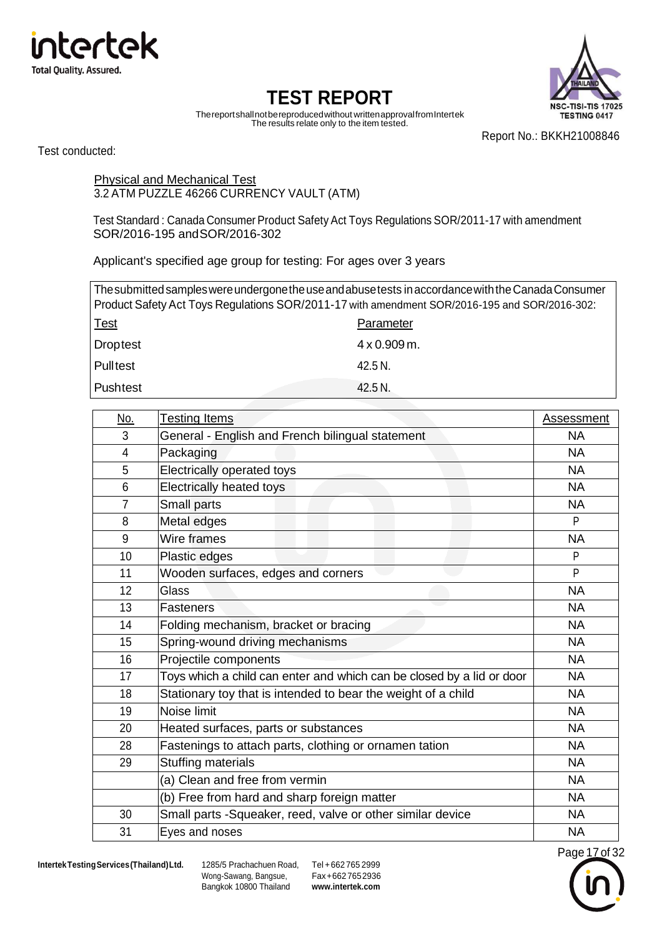



Thereportshallnotbereproducedwithout writtenapprovalfromIntertek The results relate only to the item tested.

Report No.: BKKH21008846

Test conducted:

Physical and Mechanical Test 3.2 ATM PUZZLE 46266 CURRENCY VAULT (ATM)

Test Standard : Canada Consumer Product Safety Act Toys Regulations SOR/2011-17 with amendment SOR/2016-195 andSOR/2016-302

Applicant's specified age group for testing: For ages over 3 years

| The submitted samples were undergone the use and abuse tests in accordance with the Canada Consumer |                     |  |  |
|-----------------------------------------------------------------------------------------------------|---------------------|--|--|
| Product Safety Act Toys Regulations SOR/2011-17 with amendment SOR/2016-195 and SOR/2016-302:       |                     |  |  |
| <u>Test</u>                                                                                         | Parameter           |  |  |
| <b>Droptest</b>                                                                                     | $4 \times 0.909$ m. |  |  |
| <b>Pulltest</b>                                                                                     | 42.5 N.             |  |  |
| <b>Pushtest</b>                                                                                     | 42.5 N.             |  |  |

| No.            | <b>Testing Items</b>                                                  | <b>Assessment</b> |
|----------------|-----------------------------------------------------------------------|-------------------|
| 3              | General - English and French bilingual statement                      | <b>NA</b>         |
| 4              | Packaging                                                             | <b>NA</b>         |
| 5              | Electrically operated toys                                            | <b>NA</b>         |
| 6              | Electrically heated toys                                              | <b>NA</b>         |
| $\overline{7}$ | Small parts                                                           | <b>NA</b>         |
| 8              | Metal edges                                                           | P                 |
| 9              | Wire frames                                                           | <b>NA</b>         |
| 10             | Plastic edges                                                         | P                 |
| 11             | Wooden surfaces, edges and corners                                    | P                 |
| 12             | Glass                                                                 | <b>NA</b>         |
| 13             | <b>Fasteners</b>                                                      | <b>NA</b>         |
| 14             | Folding mechanism, bracket or bracing                                 | <b>NA</b>         |
| 15             | Spring-wound driving mechanisms                                       | <b>NA</b>         |
| 16             | Projectile components                                                 | <b>NA</b>         |
| 17             | Toys which a child can enter and which can be closed by a lid or door | <b>NA</b>         |
| 18             | Stationary toy that is intended to bear the weight of a child         | <b>NA</b>         |
| 19             | Noise limit                                                           | <b>NA</b>         |
| 20             | Heated surfaces, parts or substances                                  | <b>NA</b>         |
| 28             | Fastenings to attach parts, clothing or ornamen tation                | <b>NA</b>         |
| 29             | <b>Stuffing materials</b>                                             | <b>NA</b>         |
|                | (a) Clean and free from vermin                                        | <b>NA</b>         |
|                | (b) Free from hard and sharp foreign matter                           | <b>NA</b>         |
| 30             | Small parts -Squeaker, reed, valve or other similar device            | <b>NA</b>         |
| 31             | Eyes and noses                                                        | <b>NA</b>         |

Wong-Sawang, Bangsue, Bangkok 10800 Thailand

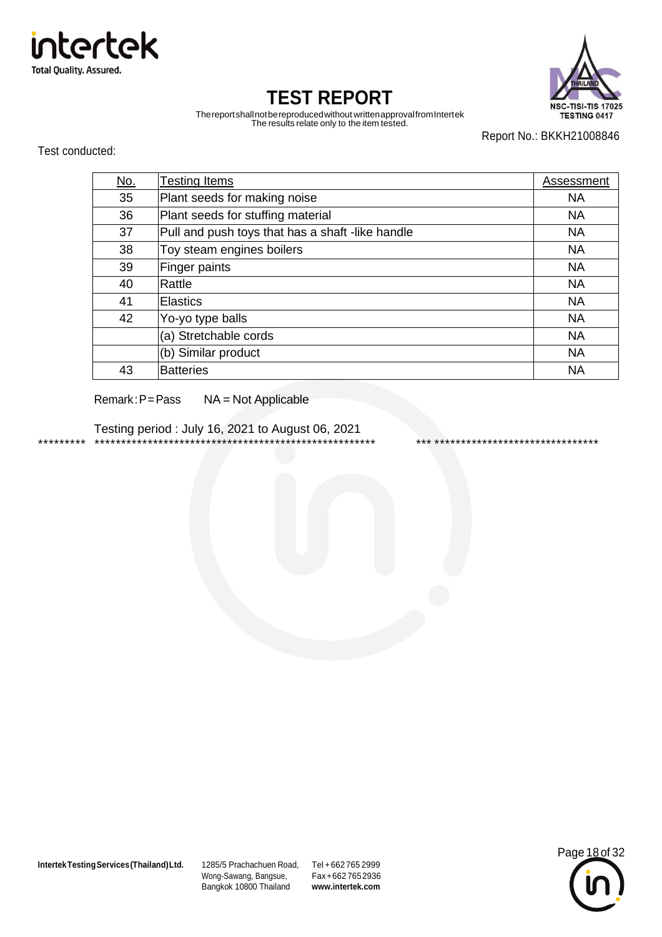



Thereportshallnotbereproducedwithout writtenapprovalfromIntertek The results relate only to the item tested.

Report No.: BKKH21008846

Test conducted:

| <u>No.</u> | <b>Testing Items</b>                             | Assessment |
|------------|--------------------------------------------------|------------|
| 35         | Plant seeds for making noise                     | <b>NA</b>  |
| 36         | Plant seeds for stuffing material                | <b>NA</b>  |
| 37         | Pull and push toys that has a shaft -like handle | <b>NA</b>  |
| 38         | Toy steam engines boilers                        | <b>NA</b>  |
| 39         | Finger paints                                    | <b>NA</b>  |
| 40         | Rattle                                           | <b>NA</b>  |
| 41         | <b>Elastics</b>                                  | <b>NA</b>  |
| 42         | Yo-yo type balls                                 | <b>NA</b>  |
|            | (a) Stretchable cords                            | <b>NA</b>  |
|            | (b) Similar product                              | <b>NA</b>  |
| 43         | <b>Batteries</b>                                 | <b>NA</b>  |

Remark:P=Pass NA = Not Applicable

Testing period : July 16, 2021 to August 06, 2021 \*\*\*\*\*\*\*\*\* \*\*\*\*\*\*\*\*\*\*\*\*\*\*\*\*\*\*\*\*\*\*\*\*\*\*\*\*\*\*\*\*\*\*\*\*\*\*\*\*\*\*\*\*\*\*\*\*\*\*\*\*\* \*\*\* \*\*\*\*\*\*\*\*\*\*\*\*\*\*\*\*\*\*\*\*\*\*\*\*\*\*\*\*\*\*\*

**IntertekTestingServices(Thailand)Ltd.** 1285/5 Prachachuen Road, Tel +662 765 2999

Wong-Sawang, Bangsue, Bangkok 10800 Thailand

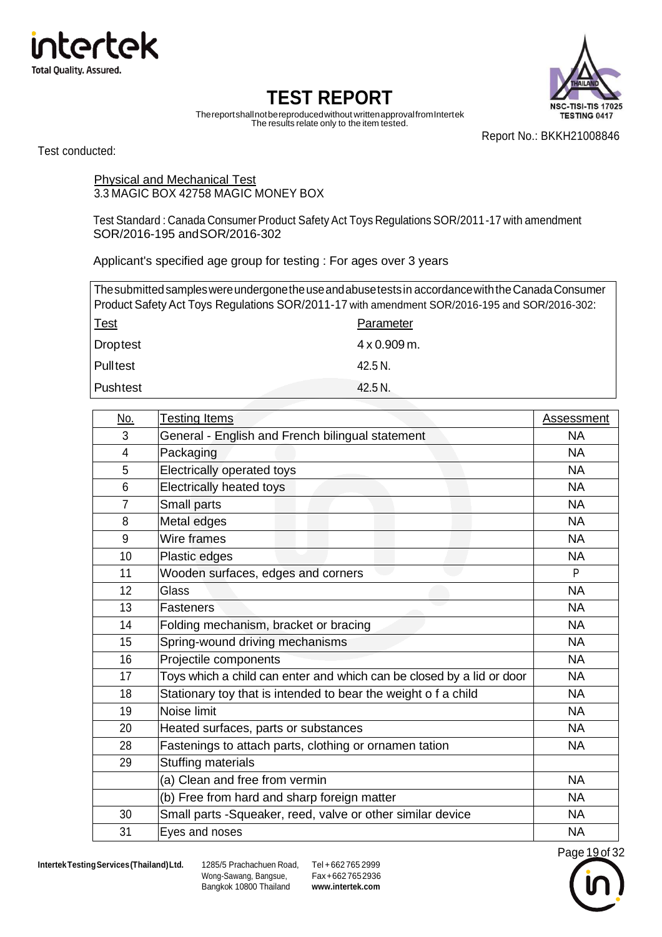



Thereportshallnotbereproducedwithout writtenapprovalfromIntertek The results relate only to the item tested.

Report No.: BKKH21008846

Test conducted:

Physical and Mechanical Test 3.3 MAGIC BOX 42758 MAGIC MONEY BOX

Test Standard : Canada Consumer Product Safety Act Toys Regulations SOR/2011-17 with amendment SOR/2016-195 andSOR/2016-302

Applicant's specified age group for testing : For ages over 3 years

| The submitted samples were undergone the use and abuse tests in accordance with the Canada Consumer |                     |  |  |
|-----------------------------------------------------------------------------------------------------|---------------------|--|--|
| Product Safety Act Toys Regulations SOR/2011-17 with amendment SOR/2016-195 and SOR/2016-302:       |                     |  |  |
| <u>Test</u>                                                                                         | Parameter           |  |  |
| <b>Droptest</b>                                                                                     | $4 \times 0.909$ m. |  |  |
| <b>Pulltest</b>                                                                                     | 42.5 N.             |  |  |
| Pushtest                                                                                            | 42.5 N.             |  |  |

| No.            | <b>Testing Items</b>                                                  | <b>Assessment</b> |
|----------------|-----------------------------------------------------------------------|-------------------|
| 3              | General - English and French bilingual statement                      | <b>NA</b>         |
| 4              | Packaging                                                             | <b>NA</b>         |
| 5              | Electrically operated toys                                            | <b>NA</b>         |
| 6              | <b>Electrically heated toys</b>                                       | <b>NA</b>         |
| $\overline{7}$ | Small parts                                                           | <b>NA</b>         |
| 8              | Metal edges                                                           | <b>NA</b>         |
| 9              | Wire frames                                                           | <b>NA</b>         |
| 10             | Plastic edges                                                         | <b>NA</b>         |
| 11             | Wooden surfaces, edges and corners                                    | P                 |
| 12             | Glass                                                                 | <b>NA</b>         |
| 13             | <b>Fasteners</b>                                                      | <b>NA</b>         |
| 14             | Folding mechanism, bracket or bracing                                 | <b>NA</b>         |
| 15             | Spring-wound driving mechanisms                                       | <b>NA</b>         |
| 16             | Projectile components                                                 | <b>NA</b>         |
| 17             | Toys which a child can enter and which can be closed by a lid or door | <b>NA</b>         |
| 18             | Stationary toy that is intended to bear the weight o f a child        | <b>NA</b>         |
| 19             | Noise limit                                                           | <b>NA</b>         |
| 20             | Heated surfaces, parts or substances                                  | <b>NA</b>         |
| 28             | Fastenings to attach parts, clothing or ornamen tation                | <b>NA</b>         |
| 29             | <b>Stuffing materials</b>                                             |                   |
|                | (a) Clean and free from vermin                                        | <b>NA</b>         |
|                | (b) Free from hard and sharp foreign matter                           | <b>NA</b>         |
| 30             | Small parts -Squeaker, reed, valve or other similar device            | <b>NA</b>         |
| 31             | Eyes and noses                                                        | <b>NA</b>         |

Wong-Sawang, Bangsue, Bangkok 10800 Thailand

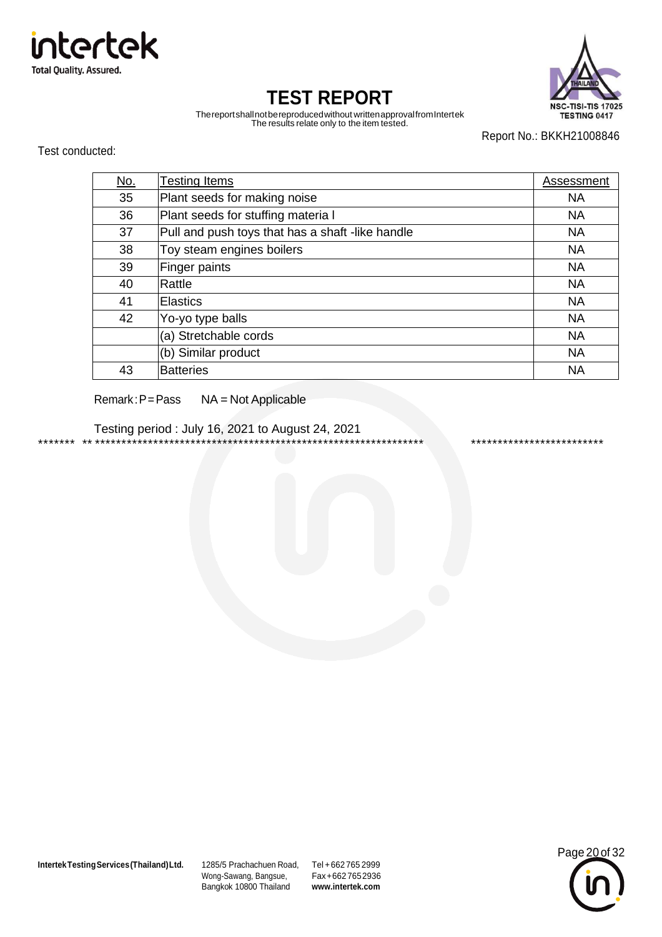



Thereportshallnotbereproducedwithout writtenapprovalfromIntertek The results relate only to the item tested.

Report No.: BKKH21008846

Test conducted:

| <u>No.</u> | Testing Items                                    | Assessment |
|------------|--------------------------------------------------|------------|
| 35         | Plant seeds for making noise                     | <b>NA</b>  |
| 36         | Plant seeds for stuffing materia I               | <b>NA</b>  |
| 37         | Pull and push toys that has a shaft -like handle | <b>NA</b>  |
| 38         | Toy steam engines boilers                        | <b>NA</b>  |
| 39         | Finger paints                                    | <b>NA</b>  |
| 40         | Rattle                                           | <b>NA</b>  |
| 41         | <b>Elastics</b>                                  | <b>NA</b>  |
| 42         | Yo-yo type balls                                 | <b>NA</b>  |
|            | (a) Stretchable cords                            | <b>NA</b>  |
|            | (b) Similar product                              | <b>NA</b>  |
| 43         | <b>Batteries</b>                                 | <b>NA</b>  |

Remark:P=Pass NA = Not Applicable

Testing period : July 16, 2021 to August 24, 2021 \*\*\*\*\*\*\* \*\* \*\*\*\*\*\*\*\*\*\*\*\*\*\*\*\*\*\*\*\*\*\*\*\*\*\*\*\*\*\*\*\*\*\*\*\*\*\*\*\*\*\*\*\*\*\*\*\*\*\*\*\*\*\*\*\*\*\*\*\*\*\* \*\*\*\*\*\*\*\*\*\*\*\*\*\*\*\*\*\*\*\*\*\*\*\*\*

**IntertekTestingServices(Thailand)Ltd.** 1285/5 Prachachuen Road, Tel +662 765 2999

Wong-Sawang, Bangsue, Bangkok 10800 Thailand

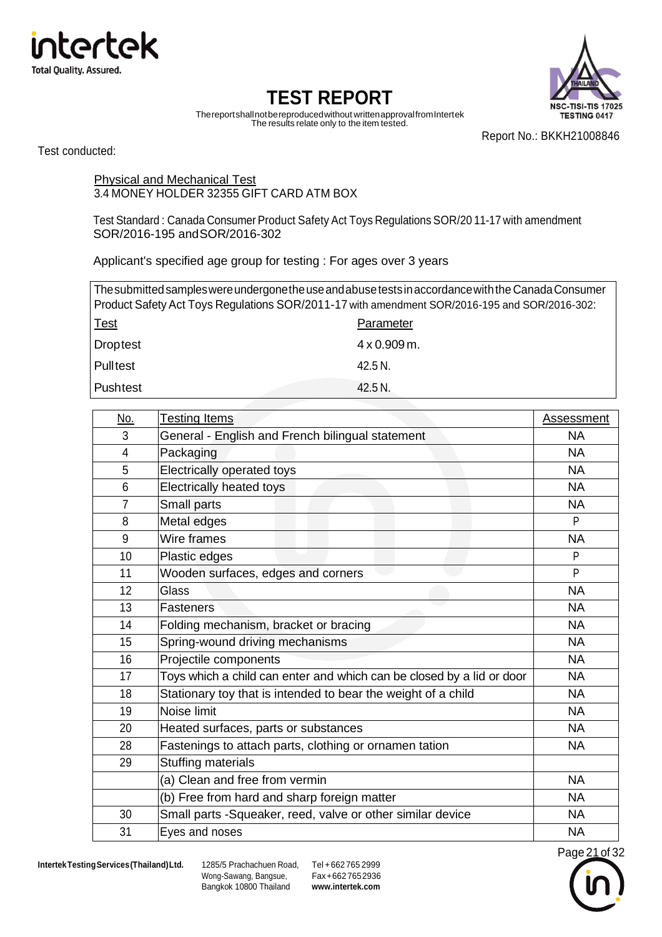



Thereportshallnotbereproducedwithout writtenapprovalfromIntertek The results relate only to the item tested.

Report No.: BKKH21008846

Test conducted:

Physical and Mechanical Test 3.4 MONEY HOLDER 32355 GIFT CARD ATM BOX

Test Standard : Canada Consumer Product Safety Act Toys Regulations SOR/20 11-17 with amendment SOR/2016-195 andSOR/2016-302

Applicant's specified age group for testing : For ages over 3 years

| The submitted samples were undergone the use and abuse tests in accordance with the Canada Consumer<br>Product Safety Act Toys Regulations SOR/2011-17 with amendment SOR/2016-195 and SOR/2016-302: |                     |  |  |  |
|------------------------------------------------------------------------------------------------------------------------------------------------------------------------------------------------------|---------------------|--|--|--|
| <u>Test</u><br>Parameter                                                                                                                                                                             |                     |  |  |  |
| <b>Droptest</b>                                                                                                                                                                                      | $4 \times 0.909$ m. |  |  |  |
| <b>Pulltest</b>                                                                                                                                                                                      | 42.5 N.             |  |  |  |
| <b>Pushtest</b>                                                                                                                                                                                      | 42.5 N.             |  |  |  |

| <u>No.</u>     | <b>Testing Items</b>                                                  | Assessment |
|----------------|-----------------------------------------------------------------------|------------|
| 3              | General - English and French bilingual statement                      | <b>NA</b>  |
| 4              | Packaging                                                             | <b>NA</b>  |
| 5              | Electrically operated toys                                            | <b>NA</b>  |
| 6              | Electrically heated toys                                              | <b>NA</b>  |
| $\overline{7}$ | Small parts                                                           | <b>NA</b>  |
| 8              | Metal edges                                                           | P          |
| 9              | Wire frames                                                           | <b>NA</b>  |
| 10             | Plastic edges                                                         | P          |
| 11             | Wooden surfaces, edges and corners                                    | P          |
| 12             | Glass                                                                 | <b>NA</b>  |
| 13             | <b>Fasteners</b>                                                      | <b>NA</b>  |
| 14             | Folding mechanism, bracket or bracing                                 | <b>NA</b>  |
| 15             | Spring-wound driving mechanisms                                       | <b>NA</b>  |
| 16             | Projectile components                                                 | <b>NA</b>  |
| 17             | Toys which a child can enter and which can be closed by a lid or door | <b>NA</b>  |
| 18             | Stationary toy that is intended to bear the weight of a child         | <b>NA</b>  |
| 19             | Noise limit                                                           | <b>NA</b>  |
| 20             | Heated surfaces, parts or substances                                  | <b>NA</b>  |
| 28             | Fastenings to attach parts, clothing or ornamen tation                | <b>NA</b>  |
| 29             | <b>Stuffing materials</b>                                             |            |
|                | (a) Clean and free from vermin                                        | <b>NA</b>  |
|                | (b) Free from hard and sharp foreign matter                           | <b>NA</b>  |
| 30             | Small parts -Squeaker, reed, valve or other similar device            | <b>NA</b>  |
| 31             | Eyes and noses                                                        | <b>NA</b>  |

Wong-Sawang, Bangsue, Bangkok 10800 Thailand

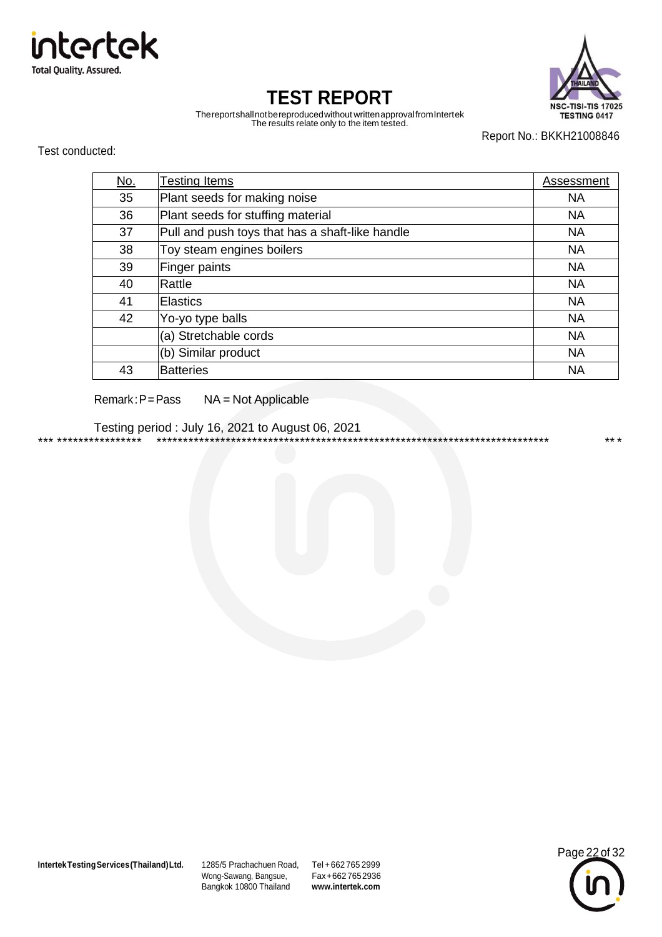



Thereportshallnotbereproducedwithout writtenapprovalfromIntertek The results relate only to the item tested.

Report No.: BKKH21008846

Test conducted:

| <u>No.</u> | <b>Testing Items</b>                            | Assessment |
|------------|-------------------------------------------------|------------|
| 35         | Plant seeds for making noise                    | <b>NA</b>  |
| 36         | Plant seeds for stuffing material               | <b>NA</b>  |
| 37         | Pull and push toys that has a shaft-like handle | <b>NA</b>  |
| 38         | Toy steam engines boilers                       | <b>NA</b>  |
| 39         | Finger paints                                   | <b>NA</b>  |
| 40         | Rattle                                          | <b>NA</b>  |
| 41         | <b>Elastics</b>                                 | <b>NA</b>  |
| 42         | Yo-yo type balls                                | <b>NA</b>  |
|            | (a) Stretchable cords                           | <b>NA</b>  |
|            | (b) Similar product                             | <b>NA</b>  |
| 43         | <b>Batteries</b>                                | <b>NA</b>  |

#### Remark:P=Pass NA = Not Applicable

Testing period : July 16, 2021 to August 06, 2021 \*\*\* \*\*\*\*\*\*\*\*\*\*\*\*\*\*\*\* \*\*\*\*\*\*\*\*\*\*\*\*\*\*\*\*\*\*\*\*\*\*\*\*\*\*\*\*\*\*\*\*\*\*\*\*\*\*\*\*\*\*\*\*\*\*\*\*\*\*\*\*\*\*\*\*\*\*\*\*\*\*\*\*\*\*\*\*\*\*\*\*\*\* \*\* \*

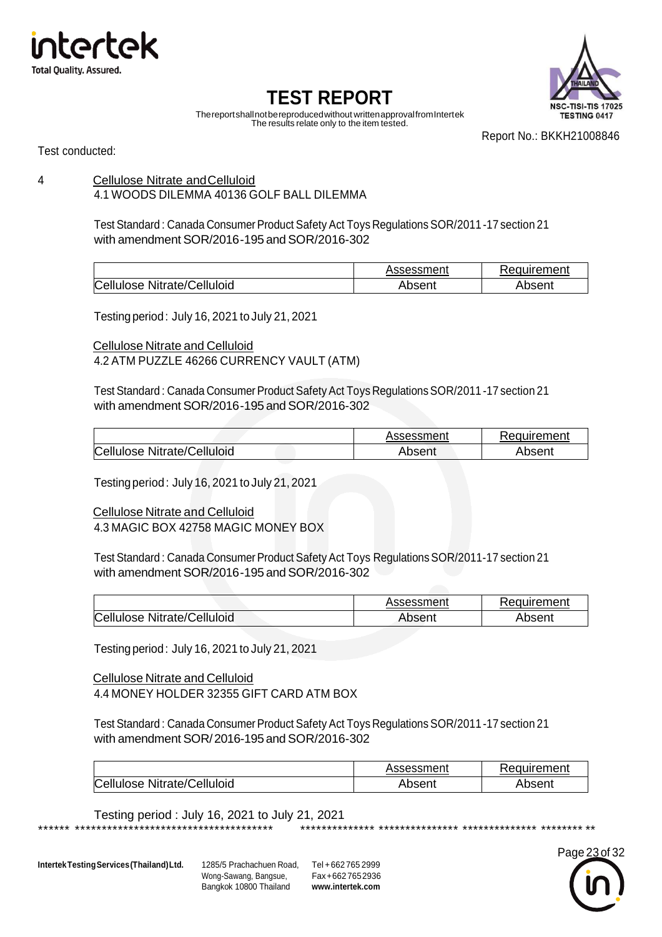



Thereportshallnotbereproducedwithout writtenapprovalfromIntertek The results relate only to the item tested.

Report No.: BKKH21008846

Test conducted:

#### 4 Cellulose Nitrate andCelluloid 4.1 WOODS DILEMMA 40136 GOLF BALL DILEMMA

Test Standard: Canada Consumer Product Safety Act Toys Regulations SOR/2011-17 section 21 with amendment SOR/2016-195 and SOR/2016-302

|                             | Assessment | Requirement |
|-----------------------------|------------|-------------|
| Cellulose Nitrate/Celluloid | Absent     | Absent      |

Testingperiod: July 16, 2021 to July 21, 2021

Cellulose Nitrate and Celluloid 4.2 ATM PUZZLE 46266 CURRENCY VAULT (ATM)

Test Standard : Canada Consumer Product Safety Act Toys Regulations SOR/2011-17 section 21 with amendment SOR/2016-195 and SOR/2016-302

|                             | Assessment | Requirement |  |
|-----------------------------|------------|-------------|--|
| Cellulose Nitrate/Celluloid | Absent     | Absent      |  |

Testingperiod : July 16, 2021 to July 21, 2021

Cellulose Nitrate and Celluloid

4.3 MAGIC BOX 42758 MAGIC MONEY BOX

Test Standard : Canada Consumer Product Safety Act Toys Regulations SOR/2011-17 section 21 with amendment SOR/2016-195 and SOR/2016-302

|                             | Assessment | Requirement |
|-----------------------------|------------|-------------|
| Cellulose Nitrate/Celluloid | Absent     | Absent      |

Testingperiod: July 16, 2021 to July 21, 2021

Cellulose Nitrate and Celluloid 4.4 MONEY HOLDER 32355 GIFT CARD ATM BOX

Test Standard : Canada Consumer Product Safety Act Toys Regulations SOR/2011-17 section 21 with amendment SOR/2016-195 and SOR/2016-302

\*\*\*\*\*\* \*\*\*\*\*\*\*\*\*\*\*\*\*\*\*\*\*\*\*\*\*\*\*\*\*\*\*\*\*\*\*\*\*\*\*\*\* \*\*\*\*\*\*\*\*\*\*\*\*\*\* \*\*\*\*\*\*\*\*\*\*\*\*\*\*\* \*\*\*\*\*\*\*\*\*\*\*\*\*\* \*\*\*\*\*\*\*\* \*\*

|                             | Assessment | Requirement |
|-----------------------------|------------|-------------|
| Cellulose Nitrate/Celluloid | Absent     | Absent      |

Testing period : July 16, 2021 to July 21, 2021

**IntertekTestingServices(Thailand)Ltd.** 1285/5 Prachachuen Road, Tel +662 765 2999

Wong-Sawang, Bangsue, Bangkok 10800 Thailand

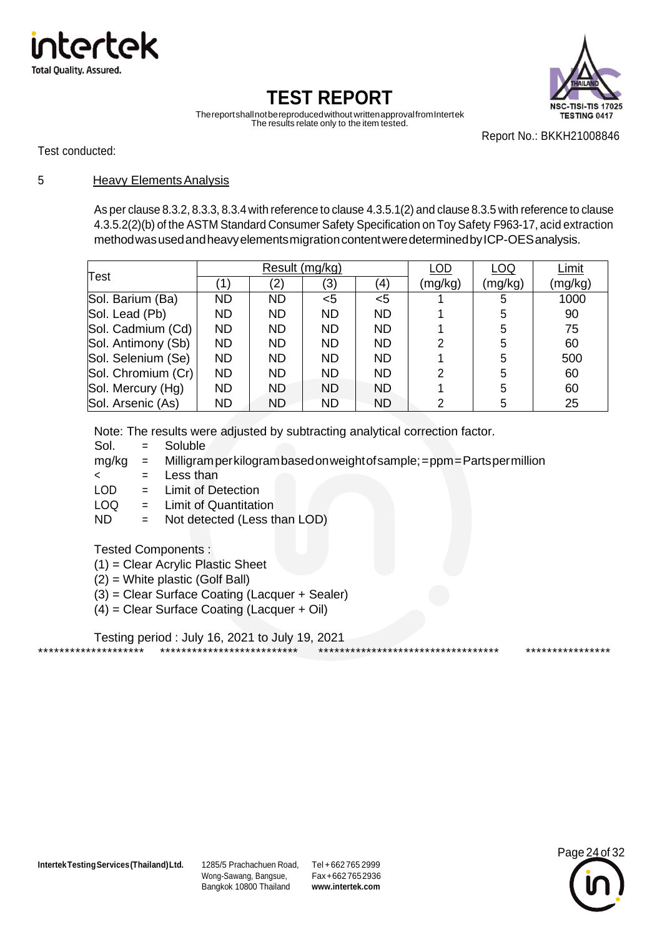



Thereportshallnotbereproducedwithout writtenapprovalfromIntertek The results relate only to the item tested.

Report No.: BKKH21008846

Test conducted:

#### 5 Heavy ElementsAnalysis

As per clause 8.3.2, 8.3.3, 8.3.4 with reference to clause 4.3.5.1(2) and clause 8.3.5 with reference to clause 4.3.5.2(2)(b) of the ASTM Standard Consumer Safety Specification on Toy Safety F963-17, acid extraction methodwasusedandheavyelementsmigrationcontentweredeterminedbyICP-OESanalysis.

| Test               | Result (mg/kg) |           |           | LOD       | LOQ     | Limit   |         |
|--------------------|----------------|-----------|-----------|-----------|---------|---------|---------|
|                    |                | (2)       | (3)       | (4)       | (mg/kg) | (mg/kg) | (mg/kg) |
| Sol. Barium (Ba)   | ND.            | ND        | <5        | $<$ 5     |         | 5       | 1000    |
| Sol. Lead (Pb)     | <b>ND</b>      | ND.       | <b>ND</b> | <b>ND</b> |         | 5       | 90      |
| Sol. Cadmium (Cd)  | <b>ND</b>      | <b>ND</b> | <b>ND</b> | <b>ND</b> |         | 5       | 75      |
| Sol. Antimony (Sb) | <b>ND</b>      | ND.       | <b>ND</b> | <b>ND</b> | 2       | 5       | 60      |
| Sol. Selenium (Se) | <b>ND</b>      | ND.       | <b>ND</b> | <b>ND</b> |         | 5       | 500     |
| Sol. Chromium (Cr) | <b>ND</b>      | <b>ND</b> | <b>ND</b> | <b>ND</b> | 2       | 5       | 60      |
| Sol. Mercury (Hg)  | <b>ND</b>      | <b>ND</b> | <b>ND</b> | <b>ND</b> |         | 5       | 60      |
| Sol. Arsenic (As)  | <b>ND</b>      | <b>ND</b> | <b>ND</b> | <b>ND</b> | 2       | 5       | 25      |

Note: The results were adjusted by subtracting analytical correction factor.

Sol. = Soluble

mg/kg = Milligramperkilogrambasedonweightofsample;=ppm=Partspermillion

\*\*\*\*\*\*\*\*\*\*\*\*\*\*\*\*\*\*\*\* \*\*\*\*\*\*\*\*\*\*\*\*\*\*\*\*\*\*\*\*\*\*\*\*\*\* \*\*\*\*\*\*\*\*\*\*\*\*\*\*\*\*\*\*\*\*\*\*\*\*\*\*\*\*\*\*\*\*\*\* \*\*\*\*\*\*\*\*\*\*\*\*\*\*\*\*

< = Less than

LOD = Limit of Detection

- LOQ = Limit of Quantitation
- ND = Not detected (Less than LOD)

#### Tested Components :

- (1) = Clear Acrylic Plastic Sheet
- (2) = White plastic (Golf Ball)
- (3) = Clear Surface Coating (Lacquer + Sealer)
- (4) = Clear Surface Coating (Lacquer + Oil)

Testing period : July 16, 2021 to July 19, 2021

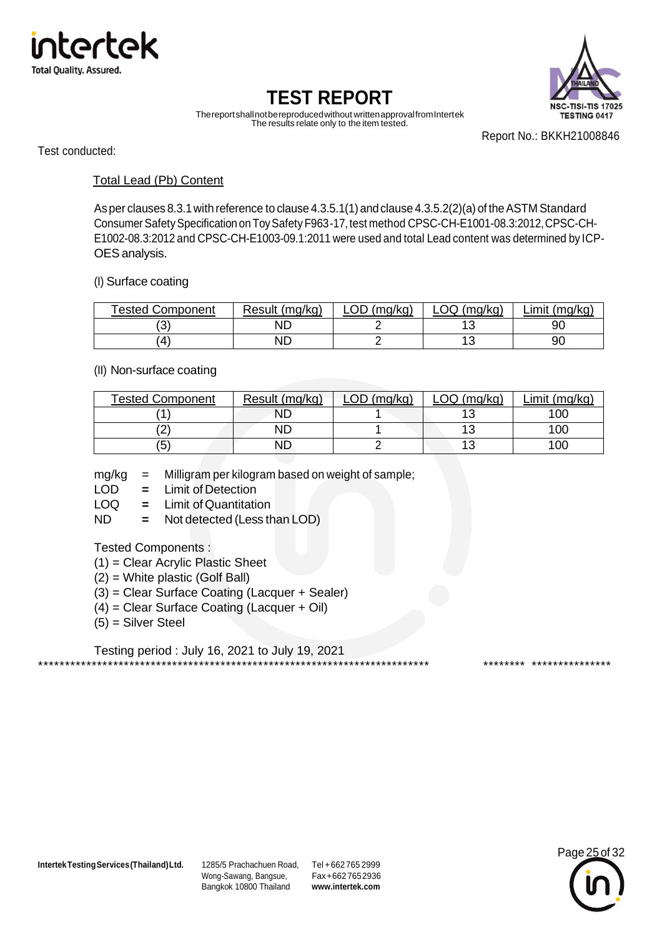



Thereportshallnotbereproducedwithout writtenapprovalfromIntertek The results relate only to the item tested.

Report No.: BKKH21008846

Test conducted:

#### Total Lead (Pb) Content

Asper clauses 8.3.1with reference to clause 4.3.5.1(1) andclause 4.3.5.2(2)(a) of theASTM Standard ConsumerSafetySpecification on ToySafety F963-17, test method CPSC-CH-E1001-08.3:2012,CPSC-CH-E1002-08.3:2012 and CPSC-CH-E1003-09.1:2011 were used and total Lead content was determined by ICP-OES analysis.

#### (I) Surface coating

| <b>Tested Component</b> | Result (mg/kg) | nn.<br>(mq/kg) | _OQ (mg/kg) | (mg/kg)<br>Limit |
|-------------------------|----------------|----------------|-------------|------------------|
| ົ<br>J                  | ND             |                |             | 90               |
| '4                      | ND             |                |             | 90               |

#### (II) Non-surface coating

| <b>Tested Component</b> | Result (mg/kg) | (mq/kg)<br>ωD | .OQ (mg/kg) | Limit (mg/kg) |
|-------------------------|----------------|---------------|-------------|---------------|
|                         | ND             |               |             | 10C           |
| ∠                       | ND             |               |             | 10C           |
| (5                      | ND             |               |             | 10C           |

mg/kg = Milligram per kilogram based on weight of sample;

- LOD **=** Limit of Detection
- LOQ = Limit of Quantitation
- ND **=** Not detected (Less than LOD)

#### Tested Components :

- (1) = Clear Acrylic Plastic Sheet
- (2) = White plastic (Golf Ball)
- (3) = Clear Surface Coating (Lacquer + Sealer)
- (4) = Clear Surface Coating (Lacquer + Oil)
- (5) = Silver Steel

Testing period : July 16, 2021 to July 19, 2021 \*\*\*\*\*\*\*\*\*\*\*\*\*\*\*\*\*\*\*\*\*\*\*\*\*\*\*\*\*\*\*\*\*\*\*\*\*\*\*\*\*\*\*\*\*\*\*\*\*\*\*\*\*\*\*\*\*\*\*\*\*\*\*\*\*\*\*\*\*\*\*\*\* \*\*\*\*\*\*\*\* \*\*\*\*\*\*\*\*\*\*\*\*\*\*\*

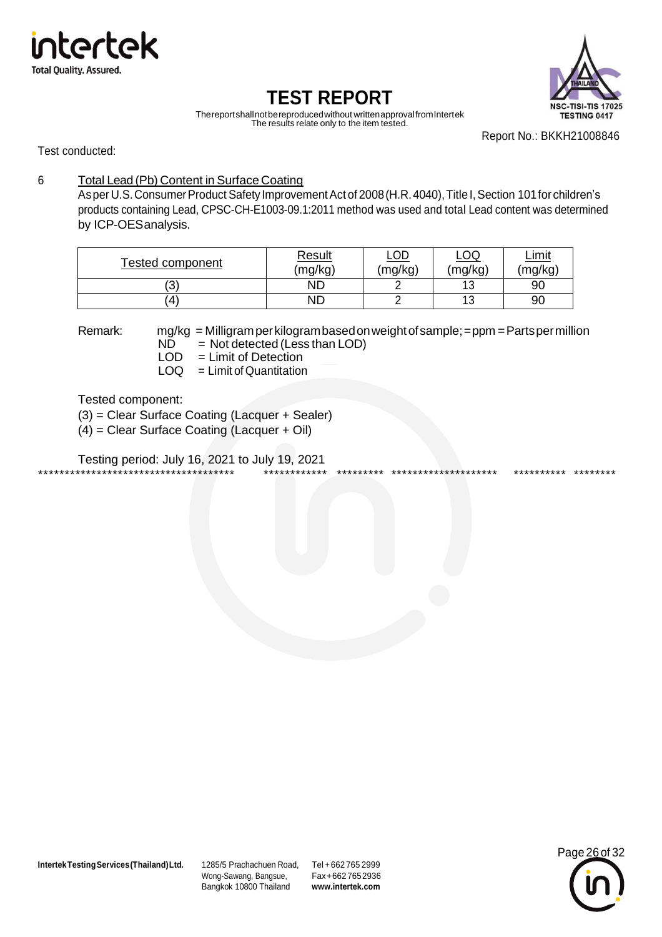



Thereportshallnotbereproducedwithout writtenapprovalfromIntertek The results relate only to the item tested.

Report No.: BKKH21008846

Test conducted:

#### 6 Total Lead (Pb) Content in Surface Coating

As per U.S. Consumer Product Safety Improvement Act of 2008 (H.R. 4040), Title I, Section 101 for children's products containing Lead, CPSC-CH-E1003-09.1:2011 method was used and total Lead content was determined by ICP-OESanalysis.

| Tested component | <u>Result</u><br>(mg/kg) |  | <u>LOQ</u><br>(mg/kg) | <u>Limit</u><br>(mg/kg) |
|------------------|--------------------------|--|-----------------------|-------------------------|
| ΄3               | ΝD                       |  | $\sqrt{2}$<br>N       | 90                      |
| 4                | ΝD                       |  | $\overline{A}$<br>N   | 90                      |

- Remark: mg/kg = Milligramperkilogrambasedonweightofsample;=ppm =Partspermillion
	- $ND$  = Not detected (Less than LOD)<br>LOD = Limit of Detection
	- $LOD = Limit of Detection  
	 $LOG = Limit of Quantitation$$  $=$  Limit of Quantitation

Tested component:

(3) = Clear Surface Coating (Lacquer + Sealer)

(4) = Clear Surface Coating (Lacquer + Oil)

Testing period: July 16, 2021 to July 19, 2021 \*\*\*\*\*\*\*\*\*\*\*\*\*\*\*\*\*\*\*\*\*\*\*\*\*\*\*\*\*\*\*\*\*\*\*\*\* \*\*\*\*\*\*\*\*\*\*\*\* \*\*\*\*\*\*\*\*\* \*\*\*\*\*\*\*\*\*\*\*\*\*\*\*\*\*\*\*\* \*\*\*\*\*\*\*\*\*\* \*\*\*\*\*\*\*\*

**IntertekTestingServices(Thailand)Ltd.** 1285/5 Prachachuen Road, Tel +662 765 2999

Wong-Sawang, Bangsue, Bangkok 10800 Thailand

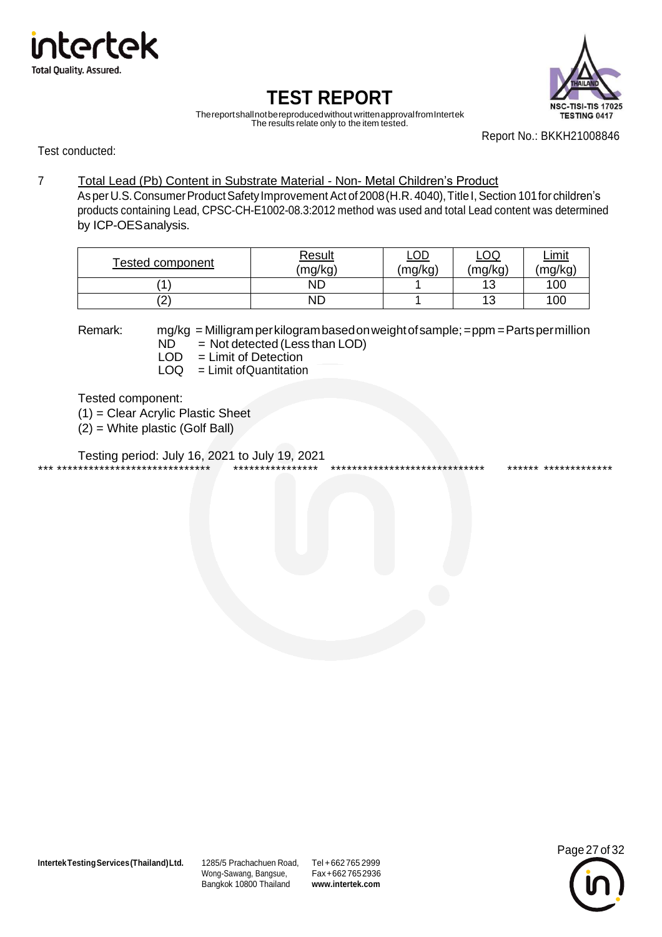



Thereportshallnotbereproducedwithout writtenapprovalfromIntertek The results relate only to the item tested.

Report No.: BKKH21008846

Test conducted:

#### 7 Total Lead (Pb) Content in Substrate Material - Non- Metal Children's Product

As per U.S. Consumer Product Safety Improvement Act of 2008 (H.R. 4040), Title I, Section 101 for children's products containing Lead, CPSC-CH-E1002-08.3:2012 method was used and total Lead content was determined by ICP-OESanalysis.

| <b>Tested component</b> | <b>Result</b> | <u>LOD</u> | $\underline{\mathsf{LOQ}}$ | <u>Limit</u> |
|-------------------------|---------------|------------|----------------------------|--------------|
|                         | (mg/kg)       | (mg/kg)    | (mg/kg)                    | (mg/kg)      |
|                         | ΝD            |            | 13                         | 100          |
| ′ິ<br>▵                 | ND            |            | 12<br>ن ا                  | 100          |

- Remark: mg/kg = Milligramperkilogrambasedonweightofsample;=ppm =Partspermillion
	- $N\overline{D}$  = Not detected (Less than LOD)<br>LOD = Limit of Detection
	- $LOD = Limit of Detection  
	 $LOG = Limit of Quantitation$$  $=$  Limit of Quantitation

Tested component:

(1) = Clear Acrylic Plastic Sheet

(2) = White plastic (Golf Ball)

Testing period: July 16, 2021 to July 19, 2021 \*\*\* \*\*\*\*\*\*\*\*\*\*\*\*\*\*\*\*\*\*\*\*\*\*\*\*\*\*\*\*\* \*\*\*\*\*\*\*\*\*\*\*\*\*\*\*\* \*\*\*\*\*\*\*\*\*\*\*\*\*\*\*\*\*\*\*\*\*\*\*\*\*\*\*\*\* \*\*\*\*\*\* \*\*\*\*\*\*\*\*\*\*\*\*\*

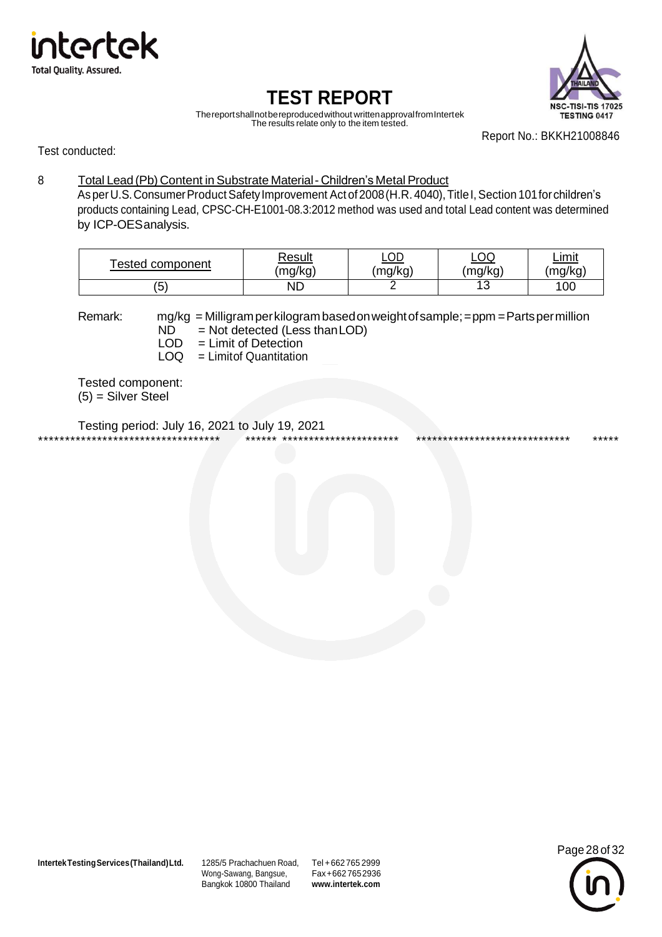



Thereportshallnotbereproducedwithout writtenapprovalfromIntertek The results relate only to the item tested.

Report No.: BKKH21008846

Test conducted:

#### 8 Total Lead (Pb) Content in Substrate Material - Children's Metal Product

Asper U.S. Consumer Product Safety Improvement Act of 2008 (H.R. 4040), Title I, Section 101 for children's products containing Lead, CPSC-CH-E1001-08.3:2012 method was used and total Lead content was determined by ICP-OESanalysis.

| <b>Fested component</b>       | Result  | <u>LOD</u> | $\underline{\mathsf{LOQ}}$ | <u>Limit</u> |
|-------------------------------|---------|------------|----------------------------|--------------|
|                               | (mg/kg) | (mg/kg)    | (mg/kg)                    | (mg/kg)      |
| $\overline{\phantom{0}}$<br>J | ΝD      |            | $\sim$<br>ں ا              | 100          |

Remark: mg/kg = Milligramperkilogrambasedonweightofsample;=ppm =Partspermillion  $ND$  = Not detected (Less than LOD)

 $LOD = Limit of Detection  
\n $LOG = Limit of Quantitation$$  $=$  Limitof Quantitation

Tested component: (5) = Silver Steel

Testing period: July 16, 2021 to July 19, 2021 \*\*\*\*\*\*\*\*\*\*\*\*\*\*\*\*\*\*\*\*\*\*\*\*\*\*\*\*\*\*\*\*\*\* \*\*\*\*\*\* \*\*\*\*\*\*\*\*\*\*\*\*\*\*\*\*\*\*\*\*\*\* \*\*\*\*\*\*\*\*\*\*\*\*\*\*\*\*\*\*\*\*\*\*\*\*\*\*\*\*\* \*\*\*\*\*

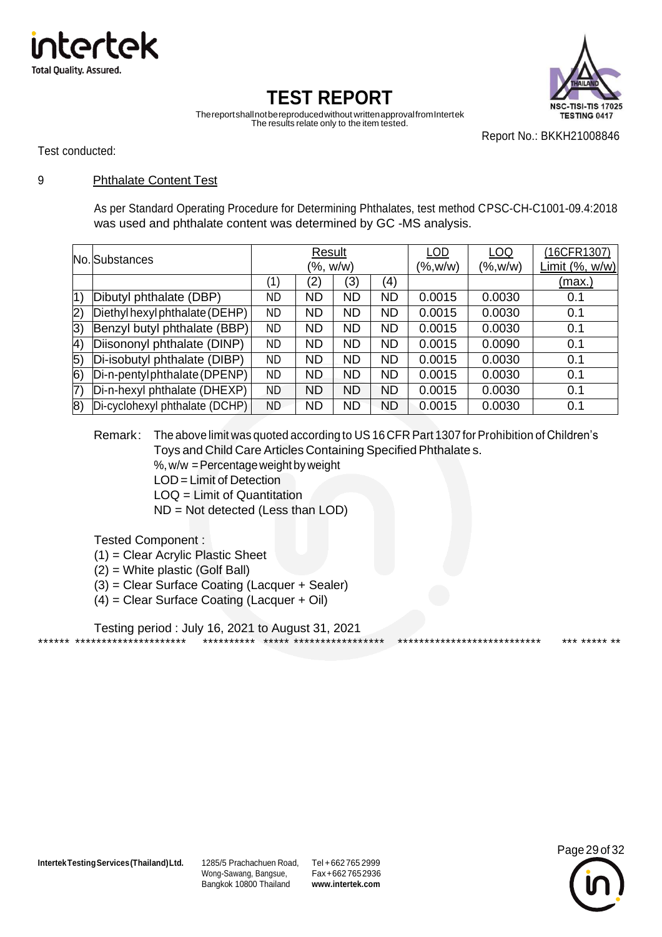



Thereportshallnotbereproducedwithout writtenapprovalfromIntertek The results relate only to the item tested.

Report No.: BKKH21008846

Test conducted:

#### 9 Phthalate Content Test

As per Standard Operating Procedure for Determining Phthalates, test method CPSC-CH-C1001-09.4:2018 was used and phthalate content was determined by GC -MS analysis.

| No. Substances    |                                | Result    |           |           | ∟0D               | LOQ     | (16CFR1307)    |               |
|-------------------|--------------------------------|-----------|-----------|-----------|-------------------|---------|----------------|---------------|
|                   |                                | (%, w/w)  |           |           | $(\%$ , w/w)      | (%,w/w) | Limit (%, w/w) |               |
|                   |                                | (1)       | (2)       | (3)       | $\left( 4\right)$ |         |                | <u>(max.)</u> |
| 1)                | Dibutyl phthalate (DBP)        | ND        | <b>ND</b> | <b>ND</b> | <b>ND</b>         | 0.0015  | 0.0030         | 0.1           |
| 2)                | Diethyl hexyl phthalate (DEHP) | <b>ND</b> | <b>ND</b> | <b>ND</b> | <b>ND</b>         | 0.0015  | 0.0030         | 0.1           |
| 3)                | Benzyl butyl phthalate (BBP)   | ND        | <b>ND</b> | <b>ND</b> | <b>ND</b>         | 0.0015  | 0.0030         | 0.1           |
| $ 4\rangle$       | Diisononyl phthalate (DINP)    | <b>ND</b> | <b>ND</b> | <b>ND</b> | <b>ND</b>         | 0.0015  | 0.0090         | 0.1           |
| $\vert 5)$        | Di-isobutyl phthalate (DIBP)   | <b>ND</b> | <b>ND</b> | <b>ND</b> | <b>ND</b>         | 0.0015  | 0.0030         | 0.1           |
| $\vert 6)$        | Di-n-pentylphthalate (DPENP)   | <b>ND</b> | <b>ND</b> | <b>ND</b> | <b>ND</b>         | 0.0015  | 0.0030         | 0.1           |
| $\vert 7 \rangle$ | Di-n-hexyl phthalate (DHEXP)   | <b>ND</b> | <b>ND</b> | <b>ND</b> | <b>ND</b>         | 0.0015  | 0.0030         | 0.1           |
| 8)                | Di-cyclohexyl phthalate (DCHP) | ND.       | <b>ND</b> | <b>ND</b> | <b>ND</b>         | 0.0015  | 0.0030         | 0.1           |

Remark: The above limit was quoted according to US16 CFR Part 1307 for Prohibition of Children's Toys and Child Care Articles Containing Specified Phthalate s.

%,w/w =Percentageweight by weight

- LOD= Limit of Detection
- LOQ = Limit of Quantitation
- ND = Not detected (Less than LOD)

Tested Component :

- (1) = Clear Acrylic Plastic Sheet
- (2) = White plastic (Golf Ball)
- (3) = Clear Surface Coating (Lacquer + Sealer)
- (4) = Clear Surface Coating (Lacquer + Oil)

Testing period : July 16, 2021 to August 31, 2021 \*\*\*\*\*\* \*\*\*\*\*\*\*\*\*\*\*\*\*\*\*\*\*\*\*\*\* \*\*\*\*\*\*\*\*\*\* \*\*\*\*\* \*\*\*\*\*\*\*\*\*\*\*\*\*\*\*\*\* \*\*\*\*\*\*\*\*\*\*\*\*\*\*\*\*\*\*\*\*\*\*\*\*\*\*\* \*\*\* \*\*\*\*\* \*\*

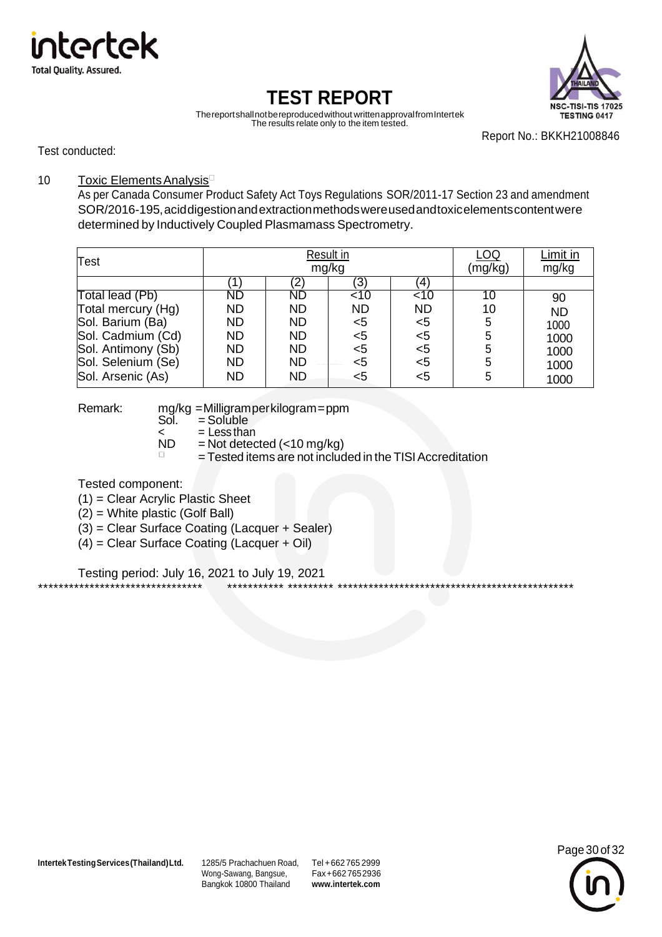



Thereportshallnotbereproducedwithout writtenapprovalfromIntertek The results relate only to the item tested.

Report No.: BKKH21008846

Test conducted:

#### 10 Toxic Elements Analysis<sup>D</sup>

As per Canada Consumer Product Safety Act Toys Regulations SOR/2011-17 Section 23 and amendment SOR/2016-195,aciddigestionandextractionmethodswereusedandtoxicelementscontentwere determined by Inductively Coupled Plasmamass Spectrometry.

| <b>Test</b>        | Result in<br>mg/kg |           |           |                   | LOQ<br>(mg/kg) | Limit in<br>mg/kg |
|--------------------|--------------------|-----------|-----------|-------------------|----------------|-------------------|
|                    |                    | '2)       | (3)       | $\left( 4\right)$ |                |                   |
| Total lead (Pb)    | <b>ND</b>          | ND        | $<$ 10    | $\overline{2}$    | 10             | 90                |
| Total mercury (Hg) | <b>ND</b>          | <b>ND</b> | <b>ND</b> | <b>ND</b>         | 10             | <b>ND</b>         |
| Sol. Barium (Ba)   | <b>ND</b>          | <b>ND</b> | <5        | $5$               |                | 1000              |
| Sol. Cadmium (Cd)  | <b>ND</b>          | <b>ND</b> | $<$ 5     | $<$ 5             |                | 1000              |
| Sol. Antimony (Sb) | <b>ND</b>          | <b>ND</b> | $5$       | $<$ 5             |                | 1000              |
| Sol. Selenium (Se) | <b>ND</b>          | <b>ND</b> | <5        | $5$               |                | 1000              |
| Sol. Arsenic (As)  | <b>ND</b>          | <b>ND</b> | <5        | $<$ 5             |                | 1000              |

Remark: mg/kg =Milligramperkilogram=ppm<br>Sol. = Soluble

- $=$  Soluble
- $\angle$  = Less than<br>ND = Not detec
- $=$  Not detected (<10 mg/kg)
- = Tested items are not included in the TISI Accreditation

Tested component:

- (1) = Clear Acrylic Plastic Sheet
- (2) = White plastic (Golf Ball)
- (3) = Clear Surface Coating (Lacquer + Sealer)
- (4) = Clear Surface Coating (Lacquer + Oil)

Testing period: July 16, 2021 to July 19, 2021 \*\*\*\*\*\*\*\*\*\*\*\*\*\*\*\*\*\*\*\*\*\*\*\*\*\*\*\*\*\*\*\* \*\*\*\*\*\*\*\*\*\*\* \*\*\*\*\*\*\*\*\* \*\*\*\*\*\*\*\*\*\*\*\*\*\*\*\*\*\*\*\*\*\*\*\*\*\*\*\*\*\*\*\*\*\*\*\*\*\*\*\*\*\*\*\*\*\*

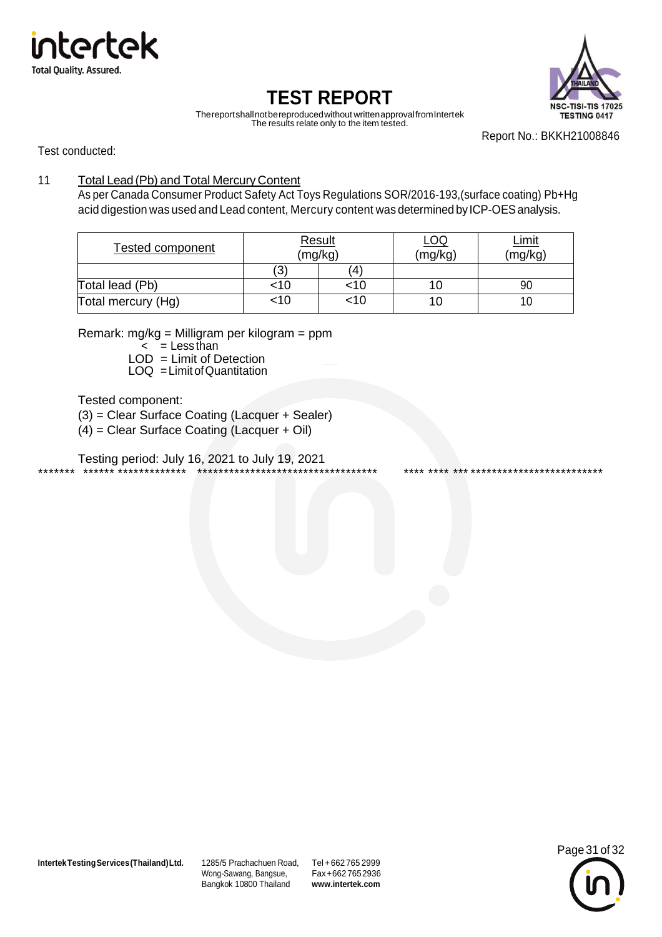



Thereportshallnotbereproducedwithout writtenapprovalfromIntertek The results relate only to the item tested.

Report No.: BKKH21008846

Test conducted:

#### 11 Total Lead (Pb) and Total Mercury Content

As per Canada Consumer Product Safety Act Toys Regulations SOR/2016-193,(surface coating) Pb+Hg acid digestion was used and Lead content, Mercury content was determined by ICP-OES analysis.

| Tested component   | <b>Result</b> | (mg/kg) | <u>_00</u><br>(mg/kg) | <u>_imit</u><br>(mg/kg) |
|--------------------|---------------|---------|-----------------------|-------------------------|
|                    | (3)           | (4)     |                       |                         |
| Total lead (Pb)    | <10           | :10     | ΙU                    | 90                      |
| Total mercury (Hg) | <10           | :10     | 1 U                   |                         |

Remark: mg/kg = Milligram per kilogram = ppm

 $\leq$  = Less than

 $LOD = Limit of Detection$  $LOQ = Limit of Quantitation$ 

Tested component:

(3) = Clear Surface Coating (Lacquer + Sealer)

(4) = Clear Surface Coating (Lacquer + Oil)

Testing period: July 16, 2021 to July 19, 2021 \*\*\*\*\*\*\* \*\*\*\*\*\* \*\*\*\*\*\*\*\*\*\*\*\*\* \*\*\*\*\*\*\*\*\*\*\*\*\*\*\*\*\*\*\*\*\*\*\*\*\*\*\*\*\*\*\*\*\*\* \*\*\*\* \*\*\*\* \*\*\* \*\*\*\*\*\*\*\*\*\*\*\*\*\*\*\*\*\*\*\*\*\*\*\*\*

**IntertekTestingServices(Thailand)Ltd.** 1285/5 Prachachuen Road, Tel +662 765 2999

Wong-Sawang, Bangsue, Bangkok 10800 Thailand